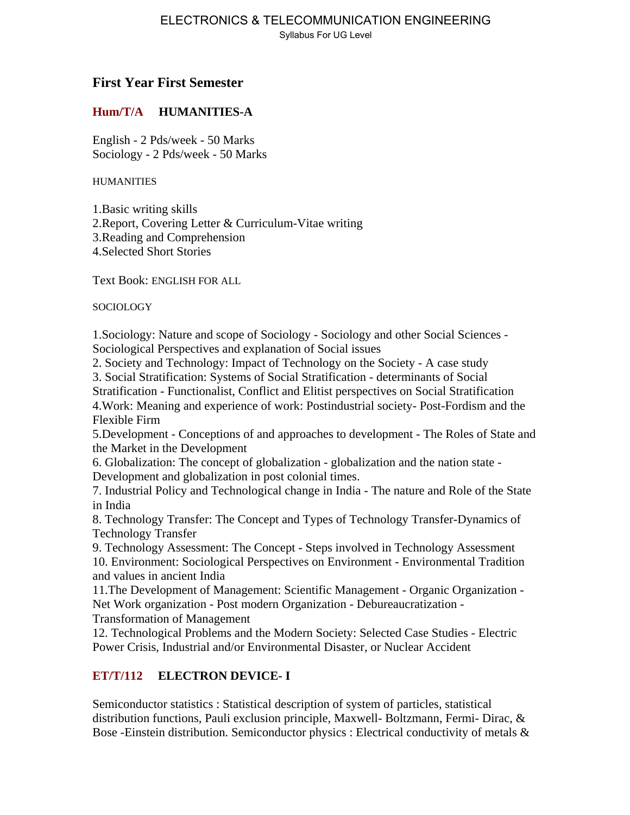#### ELECTRONICS & TELECOMMUNICATION ENGINEERING Syllabus For UG Level

# **First Year First Semester**

## **Hum/T/A HUMANITIES-A**

English - 2 Pds/week - 50 Marks Sociology - 2 Pds/week - 50 Marks

**HUMANITIES** 

1.Basic writing skills 2.Report, Covering Letter & Curriculum-Vitae writing 3.Reading and Comprehension 4.Selected Short Stories

Text Book: ENGLISH FOR ALL

SOCIOLOGY

1.Sociology: Nature and scope of Sociology - Sociology and other Social Sciences - Sociological Perspectives and explanation of Social issues

2. Society and Technology: Impact of Technology on the Society - A case study

3. Social Stratification: Systems of Social Stratification - determinants of Social

Stratification - Functionalist, Conflict and Elitist perspectives on Social Stratification 4.Work: Meaning and experience of work: Postindustrial society- Post-Fordism and the Flexible Firm

5.Development - Conceptions of and approaches to development - The Roles of State and the Market in the Development

6. Globalization: The concept of globalization - globalization and the nation state - Development and globalization in post colonial times.

7. Industrial Policy and Technological change in India - The nature and Role of the State in India

8. Technology Transfer: The Concept and Types of Technology Transfer-Dynamics of Technology Transfer

9. Technology Assessment: The Concept - Steps involved in Technology Assessment 10. Environment: Sociological Perspectives on Environment - Environmental Tradition and values in ancient India

11.The Development of Management: Scientific Management - Organic Organization - Net Work organization - Post modern Organization - Debureaucratization -

Transformation of Management

12. Technological Problems and the Modern Society: Selected Case Studies - Electric Power Crisis, Industrial and/or Environmental Disaster, or Nuclear Accident

# **ET/T/112 ELECTRON DEVICE- I**

Semiconductor statistics : Statistical description of system of particles, statistical distribution functions, Pauli exclusion principle, Maxwell- Boltzmann, Fermi- Dirac, & Bose -Einstein distribution. Semiconductor physics : Electrical conductivity of metals &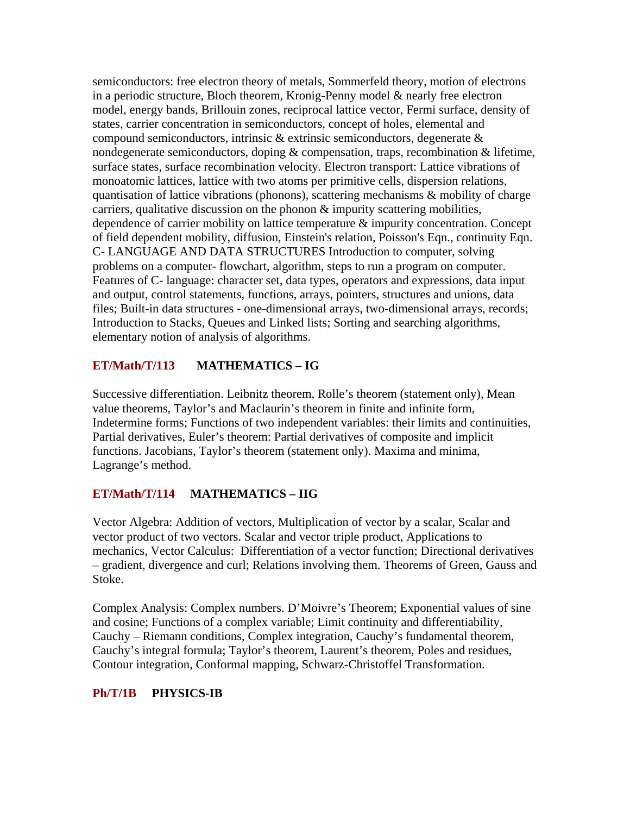semiconductors: free electron theory of metals, Sommerfeld theory, motion of electrons in a periodic structure, Bloch theorem, Kronig-Penny model & nearly free electron model, energy bands, Brillouin zones, reciprocal lattice vector, Fermi surface, density of states, carrier concentration in semiconductors, concept of holes, elemental and compound semiconductors, intrinsic & extrinsic semiconductors, degenerate  $\&$ nondegenerate semiconductors, doping & compensation, traps, recombination & lifetime, surface states, surface recombination velocity. Electron transport: Lattice vibrations of monoatomic lattices, lattice with two atoms per primitive cells, dispersion relations, quantisation of lattice vibrations (phonons), scattering mechanisms & mobility of charge carriers, qualitative discussion on the phonon  $\&$  impurity scattering mobilities, dependence of carrier mobility on lattice temperature & impurity concentration. Concept of field dependent mobility, diffusion, Einstein's relation, Poisson's Eqn., continuity Eqn. C- LANGUAGE AND DATA STRUCTURES Introduction to computer, solving problems on a computer- flowchart, algorithm, steps to run a program on computer. Features of C- language: character set, data types, operators and expressions, data input and output, control statements, functions, arrays, pointers, structures and unions, data files; Built-in data structures - one-dimensional arrays, two-dimensional arrays, records; Introduction to Stacks, Queues and Linked lists; Sorting and searching algorithms, elementary notion of analysis of algorithms.

## **ET/Math/T/113 MATHEMATICS – IG**

Successive differentiation. Leibnitz theorem, Rolle's theorem (statement only), Mean value theorems, Taylor's and Maclaurin's theorem in finite and infinite form, Indetermine forms; Functions of two independent variables: their limits and continuities, Partial derivatives, Euler's theorem: Partial derivatives of composite and implicit functions. Jacobians, Taylor's theorem (statement only). Maxima and minima, Lagrange's method.

## **ET/Math/T/114 MATHEMATICS – IIG**

Vector Algebra: Addition of vectors, Multiplication of vector by a scalar, Scalar and vector product of two vectors. Scalar and vector triple product, Applications to mechanics, Vector Calculus: Differentiation of a vector function; Directional derivatives – gradient, divergence and curl; Relations involving them. Theorems of Green, Gauss and Stoke.

Complex Analysis: Complex numbers. D'Moivre's Theorem; Exponential values of sine and cosine; Functions of a complex variable; Limit continuity and differentiability, Cauchy – Riemann conditions, Complex integration, Cauchy's fundamental theorem, Cauchy's integral formula; Taylor's theorem, Laurent's theorem, Poles and residues, Contour integration, Conformal mapping, Schwarz-Christoffel Transformation.

## **Ph/T/1B PHYSICS-IB**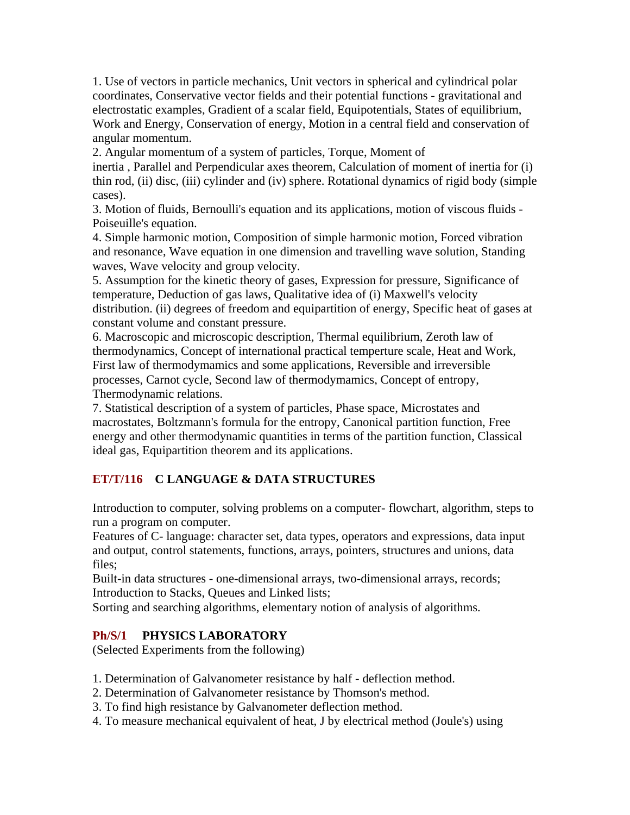1. Use of vectors in particle mechanics, Unit vectors in spherical and cylindrical polar coordinates, Conservative vector fields and their potential functions - gravitational and electrostatic examples, Gradient of a scalar field, Equipotentials, States of equilibrium, Work and Energy, Conservation of energy, Motion in a central field and conservation of angular momentum.

2. Angular momentum of a system of particles, Torque, Moment of

inertia , Parallel and Perpendicular axes theorem, Calculation of moment of inertia for (i) thin rod, (ii) disc, (iii) cylinder and (iv) sphere. Rotational dynamics of rigid body (simple cases).

3. Motion of fluids, Bernoulli's equation and its applications, motion of viscous fluids - Poiseuille's equation.

4. Simple harmonic motion, Composition of simple harmonic motion, Forced vibration and resonance, Wave equation in one dimension and travelling wave solution, Standing waves, Wave velocity and group velocity.

5. Assumption for the kinetic theory of gases, Expression for pressure, Significance of temperature, Deduction of gas laws, Qualitative idea of (i) Maxwell's velocity distribution. (ii) degrees of freedom and equipartition of energy, Specific heat of gases at constant volume and constant pressure.

6. Macroscopic and microscopic description, Thermal equilibrium, Zeroth law of thermodynamics, Concept of international practical temperture scale, Heat and Work, First law of thermodymamics and some applications, Reversible and irreversible processes, Carnot cycle, Second law of thermodymamics, Concept of entropy, Thermodynamic relations.

7. Statistical description of a system of particles, Phase space, Microstates and macrostates, Boltzmann's formula for the entropy, Canonical partition function, Free energy and other thermodynamic quantities in terms of the partition function, Classical ideal gas, Equipartition theorem and its applications.

## **ET/T/116 C LANGUAGE & DATA STRUCTURES**

Introduction to computer, solving problems on a computer- flowchart, algorithm, steps to run a program on computer.

Features of C- language: character set, data types, operators and expressions, data input and output, control statements, functions, arrays, pointers, structures and unions, data files;

Built-in data structures - one-dimensional arrays, two-dimensional arrays, records; Introduction to Stacks, Queues and Linked lists;

Sorting and searching algorithms, elementary notion of analysis of algorithms.

## **Ph/S/1 PHYSICS LABORATORY**

(Selected Experiments from the following)

1. Determination of Galvanometer resistance by half - deflection method.

- 2. Determination of Galvanometer resistance by Thomson's method.
- 3. To find high resistance by Galvanometer deflection method.
- 4. To measure mechanical equivalent of heat, J by electrical method (Joule's) using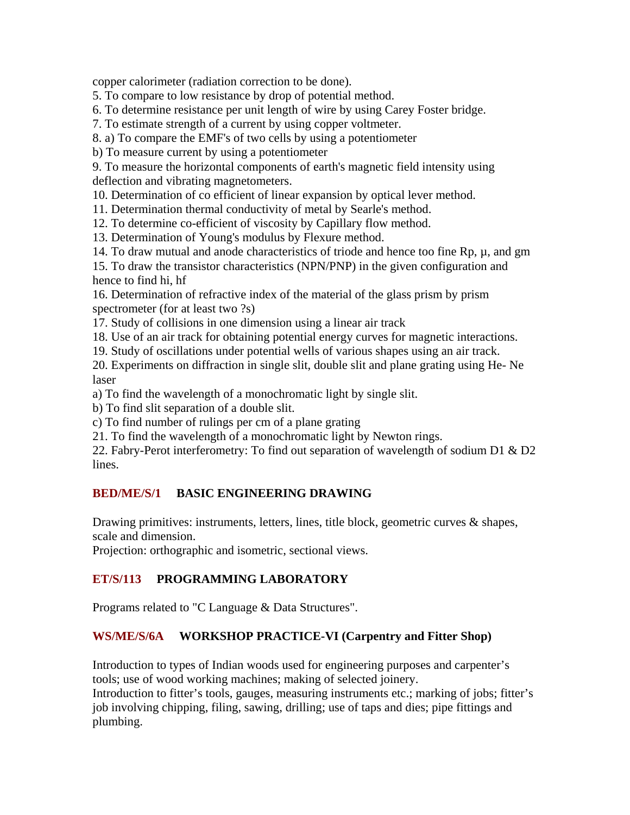copper calorimeter (radiation correction to be done).

5. To compare to low resistance by drop of potential method.

6. To determine resistance per unit length of wire by using Carey Foster bridge.

7. To estimate strength of a current by using copper voltmeter.

8. a) To compare the EMF's of two cells by using a potentiometer

b) To measure current by using a potentiometer

9. To measure the horizontal components of earth's magnetic field intensity using deflection and vibrating magnetometers.

10. Determination of co efficient of linear expansion by optical lever method.

11. Determination thermal conductivity of metal by Searle's method.

12. To determine co-efficient of viscosity by Capillary flow method.

13. Determination of Young's modulus by Flexure method.

14. To draw mutual and anode characteristics of triode and hence too fine  $Rp, µ, and gm$ 

15. To draw the transistor characteristics (NPN/PNP) in the given configuration and hence to find hi, hf

16. Determination of refractive index of the material of the glass prism by prism spectrometer (for at least two ?s)

17. Study of collisions in one dimension using a linear air track

18. Use of an air track for obtaining potential energy curves for magnetic interactions.

19. Study of oscillations under potential wells of various shapes using an air track.

20. Experiments on diffraction in single slit, double slit and plane grating using He- Ne laser

a) To find the wavelength of a monochromatic light by single slit.

b) To find slit separation of a double slit.

c) To find number of rulings per cm of a plane grating

21. To find the wavelength of a monochromatic light by Newton rings.

22. Fabry-Perot interferometry: To find out separation of wavelength of sodium D1 & D2 lines.

## **BED/ME/S/1 BASIC ENGINEERING DRAWING**

Drawing primitives: instruments, letters, lines, title block, geometric curves & shapes, scale and dimension.

Projection: orthographic and isometric, sectional views.

# **ET/S/113 PROGRAMMING LABORATORY**

Programs related to "C Language & Data Structures".

## **WS/ME/S/6A WORKSHOP PRACTICE-VI (Carpentry and Fitter Shop)**

Introduction to types of Indian woods used for engineering purposes and carpenter's tools; use of wood working machines; making of selected joinery.

Introduction to fitter's tools, gauges, measuring instruments etc.; marking of jobs; fitter's job involving chipping, filing, sawing, drilling; use of taps and dies; pipe fittings and plumbing.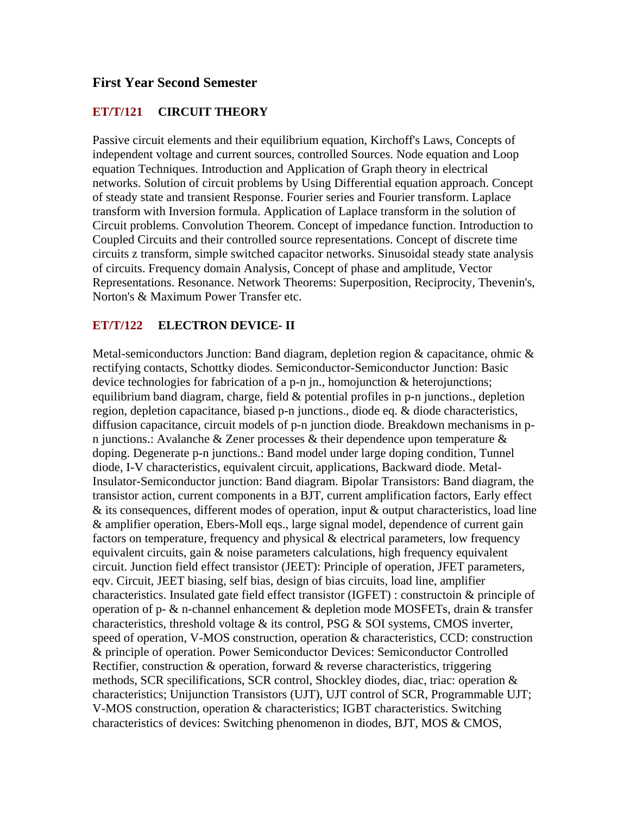## **First Year Second Semester**

#### **ET/T/121 CIRCUIT THEORY**

Passive circuit elements and their equilibrium equation, Kirchoff's Laws, Concepts of independent voltage and current sources, controlled Sources. Node equation and Loop equation Techniques. Introduction and Application of Graph theory in electrical networks. Solution of circuit problems by Using Differential equation approach. Concept of steady state and transient Response. Fourier series and Fourier transform. Laplace transform with Inversion formula. Application of Laplace transform in the solution of Circuit problems. Convolution Theorem. Concept of impedance function. Introduction to Coupled Circuits and their controlled source representations. Concept of discrete time circuits z transform, simple switched capacitor networks. Sinusoidal steady state analysis of circuits. Frequency domain Analysis, Concept of phase and amplitude, Vector Representations. Resonance. Network Theorems: Superposition, Reciprocity, Thevenin's, Norton's & Maximum Power Transfer etc.

#### **ET/T/122 ELECTRON DEVICE- II**

Metal-semiconductors Junction: Band diagram, depletion region  $\&$  capacitance, ohmic  $\&$ rectifying contacts, Schottky diodes. Semiconductor-Semiconductor Junction: Basic device technologies for fabrication of a p-n jn., homojunction & heterojunctions; equilibrium band diagram, charge, field & potential profiles in p-n junctions., depletion region, depletion capacitance, biased p-n junctions., diode eq. & diode characteristics, diffusion capacitance, circuit models of p-n junction diode. Breakdown mechanisms in pn junctions.: Avalanche & Zener processes & their dependence upon temperature  $\&$ doping. Degenerate p-n junctions.: Band model under large doping condition, Tunnel diode, I-V characteristics, equivalent circuit, applications, Backward diode. Metal-Insulator-Semiconductor junction: Band diagram. Bipolar Transistors: Band diagram, the transistor action, current components in a BJT, current amplification factors, Early effect & its consequences, different modes of operation, input & output characteristics, load line & amplifier operation, Ebers-Moll eqs., large signal model, dependence of current gain factors on temperature, frequency and physical & electrical parameters, low frequency equivalent circuits, gain & noise parameters calculations, high frequency equivalent circuit. Junction field effect transistor (JEET): Principle of operation, JFET parameters, eqv. Circuit, JEET biasing, self bias, design of bias circuits, load line, amplifier characteristics. Insulated gate field effect transistor (IGFET) : constructoin & principle of operation of p-  $\&$  n-channel enhancement  $\&$  depletion mode MOSFETs, drain  $\&$  transfer characteristics, threshold voltage & its control, PSG & SOI systems, CMOS inverter, speed of operation, V-MOS construction, operation & characteristics, CCD: construction & principle of operation. Power Semiconductor Devices: Semiconductor Controlled Rectifier, construction  $\&$  operation, forward  $\&$  reverse characteristics, triggering methods, SCR specilifications, SCR control, Shockley diodes, diac, triac: operation & characteristics; Unijunction Transistors (UJT), UJT control of SCR, Programmable UJT; V-MOS construction, operation & characteristics; IGBT characteristics. Switching characteristics of devices: Switching phenomenon in diodes, BJT, MOS & CMOS,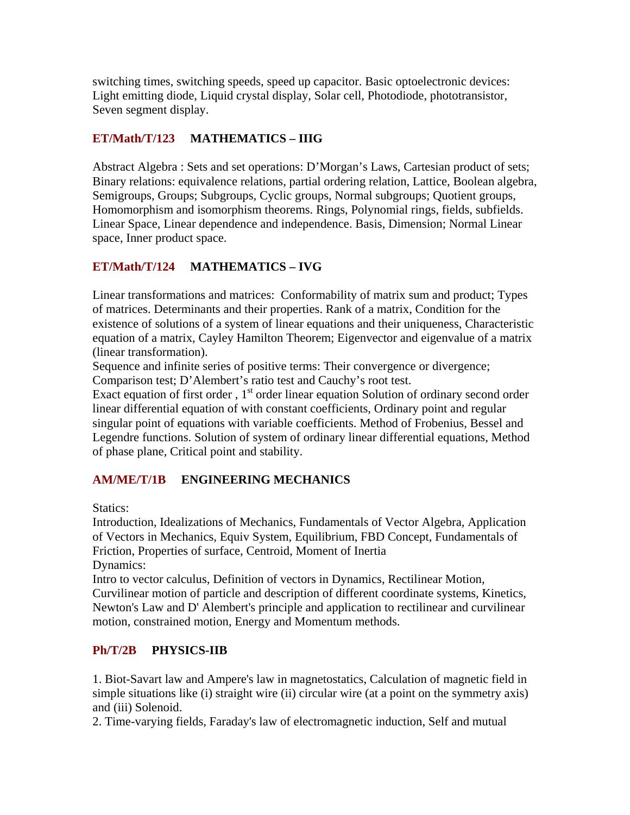switching times, switching speeds, speed up capacitor. Basic optoelectronic devices: Light emitting diode, Liquid crystal display, Solar cell, Photodiode, phototransistor, Seven segment display.

## **ET/Math/T/123 MATHEMATICS – IIIG**

Abstract Algebra : Sets and set operations: D'Morgan's Laws, Cartesian product of sets; Binary relations: equivalence relations, partial ordering relation, Lattice, Boolean algebra, Semigroups, Groups; Subgroups, Cyclic groups, Normal subgroups; Quotient groups, Homomorphism and isomorphism theorems. Rings, Polynomial rings, fields, subfields. Linear Space, Linear dependence and independence. Basis, Dimension; Normal Linear space, Inner product space.

# **ET/Math/T/124 MATHEMATICS – IVG**

Linear transformations and matrices: Conformability of matrix sum and product; Types of matrices. Determinants and their properties. Rank of a matrix, Condition for the existence of solutions of a system of linear equations and their uniqueness, Characteristic equation of a matrix, Cayley Hamilton Theorem; Eigenvector and eigenvalue of a matrix (linear transformation).

Sequence and infinite series of positive terms: Their convergence or divergence; Comparison test; D'Alembert's ratio test and Cauchy's root test.

Exact equation of first order,  $1<sup>st</sup>$  order linear equation Solution of ordinary second order linear differential equation of with constant coefficients, Ordinary point and regular singular point of equations with variable coefficients. Method of Frobenius, Bessel and Legendre functions. Solution of system of ordinary linear differential equations, Method of phase plane, Critical point and stability.

# **AM/ME/T/1B ENGINEERING MECHANICS**

Statics:

Introduction, Idealizations of Mechanics, Fundamentals of Vector Algebra, Application of Vectors in Mechanics, Equiv System, Equilibrium, FBD Concept, Fundamentals of Friction, Properties of surface, Centroid, Moment of Inertia Dynamics:

Intro to vector calculus, Definition of vectors in Dynamics, Rectilinear Motion, Curvilinear motion of particle and description of different coordinate systems, Kinetics, Newton's Law and D' Alembert's principle and application to rectilinear and curvilinear motion, constrained motion, Energy and Momentum methods.

## **Ph/T/2B PHYSICS-IIB**

1. Biot-Savart law and Ampere's law in magnetostatics, Calculation of magnetic field in simple situations like (i) straight wire (ii) circular wire (at a point on the symmetry axis) and (iii) Solenoid.

2. Time-varying fields, Faraday's law of electromagnetic induction, Self and mutual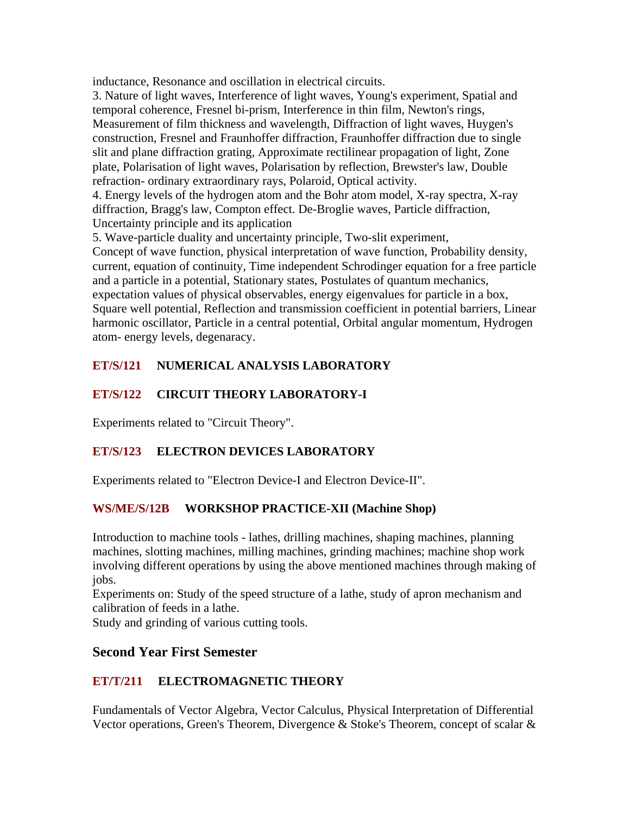inductance, Resonance and oscillation in electrical circuits.

3. Nature of light waves, Interference of light waves, Young's experiment, Spatial and temporal coherence, Fresnel bi-prism, Interference in thin film, Newton's rings, Measurement of film thickness and wavelength, Diffraction of light waves, Huygen's construction, Fresnel and Fraunhoffer diffraction, Fraunhoffer diffraction due to single slit and plane diffraction grating, Approximate rectilinear propagation of light, Zone plate, Polarisation of light waves, Polarisation by reflection, Brewster's law, Double refraction- ordinary extraordinary rays, Polaroid, Optical activity.

4. Energy levels of the hydrogen atom and the Bohr atom model, X-ray spectra, X-ray diffraction, Bragg's law, Compton effect. De-Broglie waves, Particle diffraction, Uncertainty principle and its application

5. Wave-particle duality and uncertainty principle, Two-slit experiment,

Concept of wave function, physical interpretation of wave function, Probability density, current, equation of continuity, Time independent Schrodinger equation for a free particle and a particle in a potential, Stationary states, Postulates of quantum mechanics, expectation values of physical observables, energy eigenvalues for particle in a box, Square well potential, Reflection and transmission coefficient in potential barriers, Linear harmonic oscillator, Particle in a central potential, Orbital angular momentum, Hydrogen atom- energy levels, degenaracy.

## **ET/S/121 NUMERICAL ANALYSIS LABORATORY**

## **ET/S/122 CIRCUIT THEORY LABORATORY-I**

Experiments related to "Circuit Theory".

## **ET/S/123 ELECTRON DEVICES LABORATORY**

Experiments related to "Electron Device-I and Electron Device-II".

## **WS/ME/S/12B WORKSHOP PRACTICE-XII (Machine Shop)**

Introduction to machine tools - lathes, drilling machines, shaping machines, planning machines, slotting machines, milling machines, grinding machines; machine shop work involving different operations by using the above mentioned machines through making of jobs.

Experiments on: Study of the speed structure of a lathe, study of apron mechanism and calibration of feeds in a lathe.

Study and grinding of various cutting tools.

# **Second Year First Semester**

# **ET/T/211 ELECTROMAGNETIC THEORY**

Fundamentals of Vector Algebra, Vector Calculus, Physical Interpretation of Differential Vector operations, Green's Theorem, Divergence & Stoke's Theorem, concept of scalar &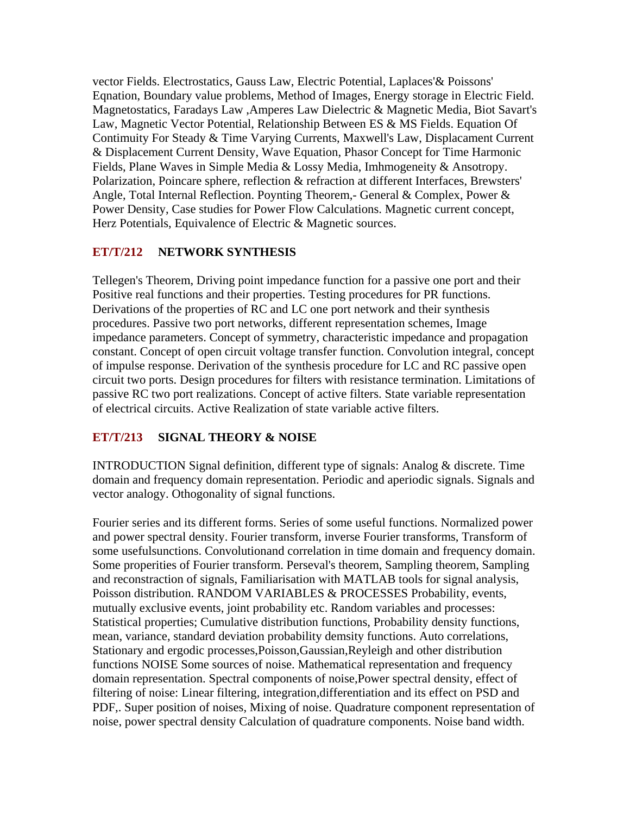vector Fields. Electrostatics, Gauss Law, Electric Potential, Laplaces'& Poissons' Eqnation, Boundary value problems, Method of Images, Energy storage in Electric Field. Magnetostatics, Faradays Law ,Amperes Law Dielectric & Magnetic Media, Biot Savart's Law, Magnetic Vector Potential, Relationship Between ES & MS Fields. Equation Of Contimuity For Steady & Time Varying Currents, Maxwell's Law, Displacament Current & Displacement Current Density, Wave Equation, Phasor Concept for Time Harmonic Fields, Plane Waves in Simple Media & Lossy Media, Imhmogeneity & Ansotropy. Polarization, Poincare sphere, reflection & refraction at different Interfaces, Brewsters' Angle, Total Internal Reflection. Poynting Theorem,- General & Complex, Power & Power Density, Case studies for Power Flow Calculations. Magnetic current concept, Herz Potentials, Equivalence of Electric & Magnetic sources.

#### **ET/T/212 NETWORK SYNTHESIS**

Tellegen's Theorem, Driving point impedance function for a passive one port and their Positive real functions and their properties. Testing procedures for PR functions. Derivations of the properties of RC and LC one port network and their synthesis procedures. Passive two port networks, different representation schemes, Image impedance parameters. Concept of symmetry, characteristic impedance and propagation constant. Concept of open circuit voltage transfer function. Convolution integral, concept of impulse response. Derivation of the synthesis procedure for LC and RC passive open circuit two ports. Design procedures for filters with resistance termination. Limitations of passive RC two port realizations. Concept of active filters. State variable representation of electrical circuits. Active Realization of state variable active filters.

#### **ET/T/213 SIGNAL THEORY & NOISE**

INTRODUCTION Signal definition, different type of signals: Analog & discrete. Time domain and frequency domain representation. Periodic and aperiodic signals. Signals and vector analogy. Othogonality of signal functions.

Fourier series and its different forms. Series of some useful functions. Normalized power and power spectral density. Fourier transform, inverse Fourier transforms, Transform of some usefulsunctions. Convolutionand correlation in time domain and frequency domain. Some properities of Fourier transform. Perseval's theorem, Sampling theorem, Sampling and reconstraction of signals, Familiarisation with MATLAB tools for signal analysis, Poisson distribution. RANDOM VARIABLES & PROCESSES Probability, events, mutually exclusive events, joint probability etc. Random variables and processes: Statistical properties; Cumulative distribution functions, Probability density functions, mean, variance, standard deviation probability demsity functions. Auto correlations, Stationary and ergodic processes,Poisson,Gaussian,Reyleigh and other distribution functions NOISE Some sources of noise. Mathematical representation and frequency domain representation. Spectral components of noise,Power spectral density, effect of filtering of noise: Linear filtering, integration,differentiation and its effect on PSD and PDF,. Super position of noises, Mixing of noise. Quadrature component representation of noise, power spectral density Calculation of quadrature components. Noise band width.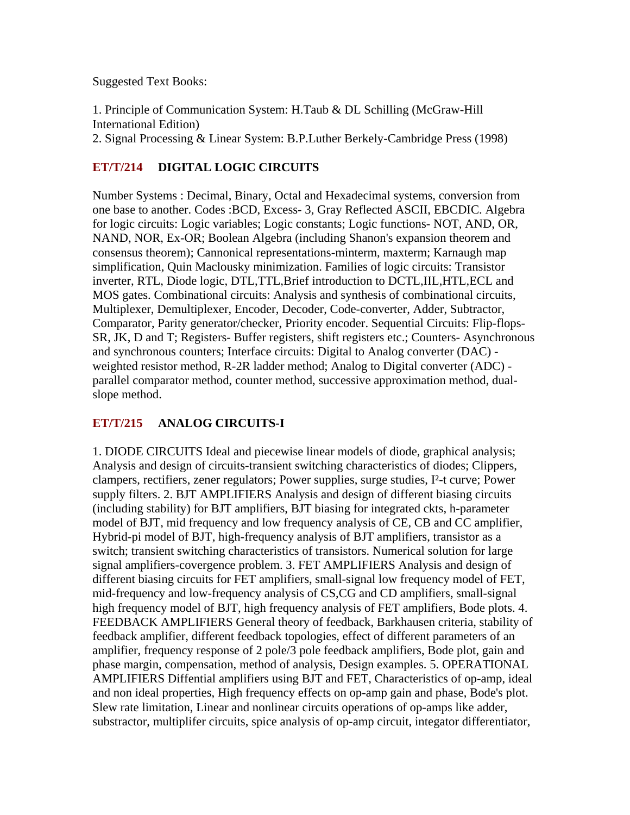#### Suggested Text Books:

1. Principle of Communication System: H.Taub & DL Schilling (McGraw-Hill International Edition)

2. Signal Processing & Linear System: B.P.Luther Berkely-Cambridge Press (1998)

## **ET/T/214 DIGITAL LOGIC CIRCUITS**

Number Systems : Decimal, Binary, Octal and Hexadecimal systems, conversion from one base to another. Codes :BCD, Excess- 3, Gray Reflected ASCII, EBCDIC. Algebra for logic circuits: Logic variables; Logic constants; Logic functions- NOT, AND, OR, NAND, NOR, Ex-OR; Boolean Algebra (including Shanon's expansion theorem and consensus theorem); Cannonical representations-minterm, maxterm; Karnaugh map simplification, Quin Maclousky minimization. Families of logic circuits: Transistor inverter, RTL, Diode logic, DTL,TTL,Brief introduction to DCTL,IIL,HTL,ECL and MOS gates. Combinational circuits: Analysis and synthesis of combinational circuits, Multiplexer, Demultiplexer, Encoder, Decoder, Code-converter, Adder, Subtractor, Comparator, Parity generator/checker, Priority encoder. Sequential Circuits: Flip-flops-SR, JK, D and T; Registers- Buffer registers, shift registers etc.; Counters- Asynchronous and synchronous counters; Interface circuits: Digital to Analog converter (DAC) weighted resistor method, R-2R ladder method; Analog to Digital converter (ADC) parallel comparator method, counter method, successive approximation method, dualslope method.

## **ET/T/215 ANALOG CIRCUITS-I**

1. DIODE CIRCUITS Ideal and piecewise linear models of diode, graphical analysis; Analysis and design of circuits-transient switching characteristics of diodes; Clippers, clampers, rectifiers, zener regulators; Power supplies, surge studies, I²-t curve; Power supply filters. 2. BJT AMPLIFIERS Analysis and design of different biasing circuits (including stability) for BJT amplifiers, BJT biasing for integrated ckts, h-parameter model of BJT, mid frequency and low frequency analysis of CE, CB and CC amplifier, Hybrid-pi model of BJT, high-frequency analysis of BJT amplifiers, transistor as a switch; transient switching characteristics of transistors. Numerical solution for large signal amplifiers-covergence problem. 3. FET AMPLIFIERS Analysis and design of different biasing circuits for FET amplifiers, small-signal low frequency model of FET, mid-frequency and low-frequency analysis of CS,CG and CD amplifiers, small-signal high frequency model of BJT, high frequency analysis of FET amplifiers, Bode plots. 4. FEEDBACK AMPLIFIERS General theory of feedback, Barkhausen criteria, stability of feedback amplifier, different feedback topologies, effect of different parameters of an amplifier, frequency response of 2 pole/3 pole feedback amplifiers, Bode plot, gain and phase margin, compensation, method of analysis, Design examples. 5. OPERATIONAL AMPLIFIERS Diffential amplifiers using BJT and FET, Characteristics of op-amp, ideal and non ideal properties, High frequency effects on op-amp gain and phase, Bode's plot. Slew rate limitation, Linear and nonlinear circuits operations of op-amps like adder, substractor, multiplifer circuits, spice analysis of op-amp circuit, integator differentiator,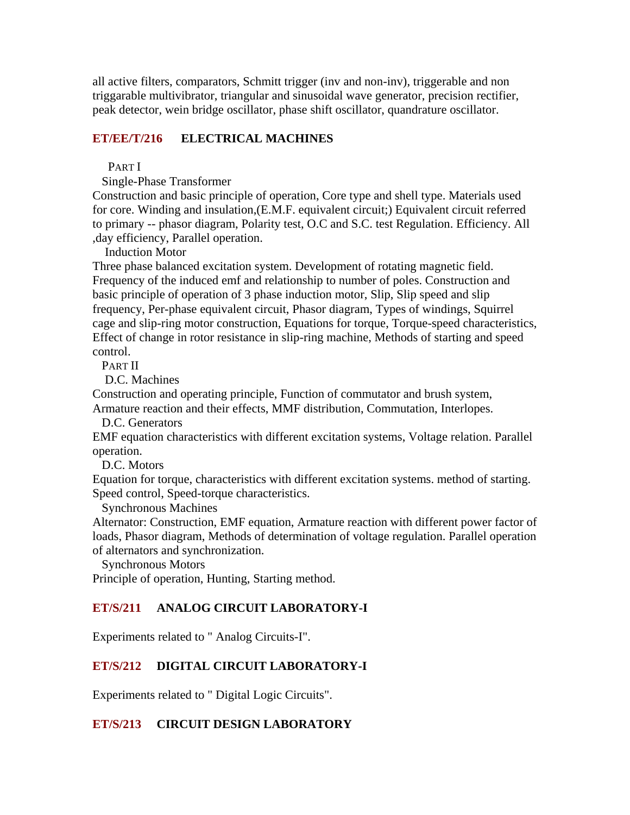all active filters, comparators, Schmitt trigger (inv and non-inv), triggerable and non triggarable multivibrator, triangular and sinusoidal wave generator, precision rectifier, peak detector, wein bridge oscillator, phase shift oscillator, quandrature oscillator.

#### **ET/EE/T/216 ELECTRICAL MACHINES**

PART I

Single-Phase Transformer

Construction and basic principle of operation, Core type and shell type. Materials used for core. Winding and insulation,(E.M.F. equivalent circuit;) Equivalent circuit referred to primary -- phasor diagram, Polarity test, O.C and S.C. test Regulation. Efficiency. All ,day efficiency, Parallel operation.

Induction Motor

Three phase balanced excitation system. Development of rotating magnetic field. Frequency of the induced emf and relationship to number of poles. Construction and basic principle of operation of 3 phase induction motor, Slip, Slip speed and slip frequency, Per-phase equivalent circuit, Phasor diagram, Types of windings, Squirrel cage and slip-ring motor construction, Equations for torque, Torque-speed characteristics, Effect of change in rotor resistance in slip-ring machine, Methods of starting and speed control.

PART II

D.C. Machines

Construction and operating principle, Function of commutator and brush system, Armature reaction and their effects, MMF distribution, Commutation, Interlopes.

D.C. Generators

EMF equation characteristics with different excitation systems, Voltage relation. Parallel operation.

D.C. Motors

Equation for torque, characteristics with different excitation systems. method of starting. Speed control, Speed-torque characteristics.

Synchronous Machines

Alternator: Construction, EMF equation, Armature reaction with different power factor of loads, Phasor diagram, Methods of determination of voltage regulation. Parallel operation of alternators and synchronization.

Synchronous Motors

Principle of operation, Hunting, Starting method.

#### **ET/S/211 ANALOG CIRCUIT LABORATORY-I**

Experiments related to " Analog Circuits-I".

#### **ET/S/212 DIGITAL CIRCUIT LABORATORY-I**

Experiments related to " Digital Logic Circuits".

#### **ET/S/213 CIRCUIT DESIGN LABORATORY**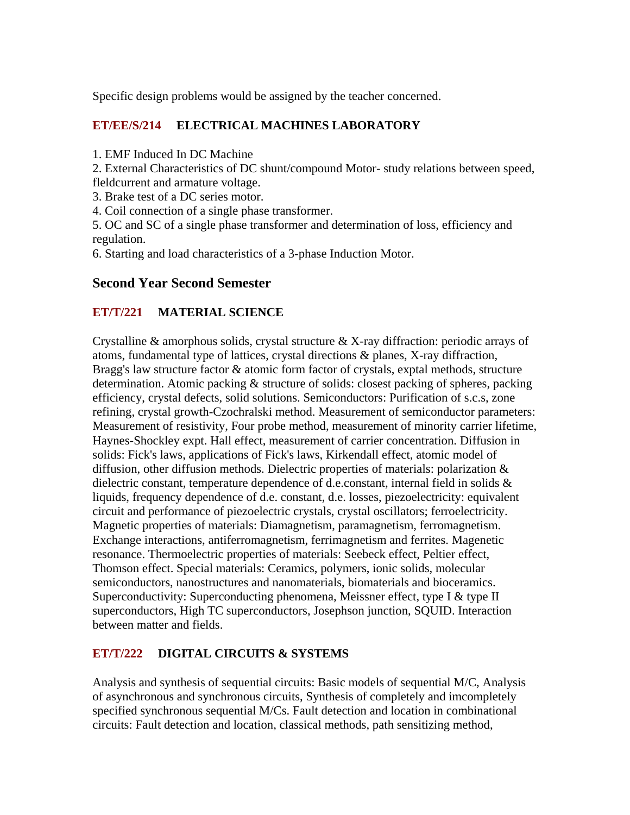Specific design problems would be assigned by the teacher concerned.

## **ET/EE/S/214 ELECTRICAL MACHINES LABORATORY**

1. EMF Induced In DC Machine

2. External Characteristics of DC shunt/compound Motor- study relations between speed, fleldcurrent and armature voltage.

3. Brake test of a DC series motor.

4. Coil connection of a single phase transformer.

5. OC and SC of a single phase transformer and determination of loss, efficiency and regulation.

6. Starting and load characteristics of a 3-phase Induction Motor.

## **Second Year Second Semester**

## **ET/T/221 MATERIAL SCIENCE**

Crystalline & amorphous solids, crystal structure & X-ray diffraction: periodic arrays of atoms, fundamental type of lattices, crystal directions & planes, X-ray diffraction, Bragg's law structure factor & atomic form factor of crystals, exptal methods, structure determination. Atomic packing & structure of solids: closest packing of spheres, packing efficiency, crystal defects, solid solutions. Semiconductors: Purification of s.c.s, zone refining, crystal growth-Czochralski method. Measurement of semiconductor parameters: Measurement of resistivity, Four probe method, measurement of minority carrier lifetime, Haynes-Shockley expt. Hall effect, measurement of carrier concentration. Diffusion in solids: Fick's laws, applications of Fick's laws, Kirkendall effect, atomic model of diffusion, other diffusion methods. Dielectric properties of materials: polarization & dielectric constant, temperature dependence of d.e.constant, internal field in solids & liquids, frequency dependence of d.e. constant, d.e. losses, piezoelectricity: equivalent circuit and performance of piezoelectric crystals, crystal oscillators; ferroelectricity. Magnetic properties of materials: Diamagnetism, paramagnetism, ferromagnetism. Exchange interactions, antiferromagnetism, ferrimagnetism and ferrites. Magenetic resonance. Thermoelectric properties of materials: Seebeck effect, Peltier effect, Thomson effect. Special materials: Ceramics, polymers, ionic solids, molecular semiconductors, nanostructures and nanomaterials, biomaterials and bioceramics. Superconductivity: Superconducting phenomena, Meissner effect, type I  $\&$  type II superconductors, High TC superconductors, Josephson junction, SQUID. Interaction between matter and fields.

## **ET/T/222 DIGITAL CIRCUITS & SYSTEMS**

Analysis and synthesis of sequential circuits: Basic models of sequential M/C, Analysis of asynchronous and synchronous circuits, Synthesis of completely and imcompletely specified synchronous sequential M/Cs. Fault detection and location in combinational circuits: Fault detection and location, classical methods, path sensitizing method,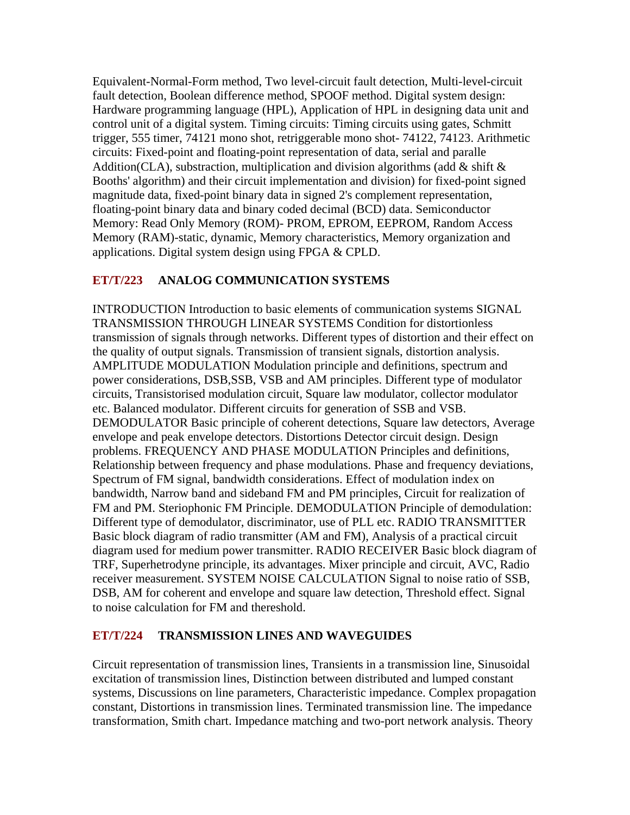Equivalent-Normal-Form method, Two level-circuit fault detection, Multi-level-circuit fault detection, Boolean difference method, SPOOF method. Digital system design: Hardware programming language (HPL), Application of HPL in designing data unit and control unit of a digital system. Timing circuits: Timing circuits using gates, Schmitt trigger, 555 timer, 74121 mono shot, retriggerable mono shot- 74122, 74123. Arithmetic circuits: Fixed-point and floating-point representation of data, serial and paralle Addition(CLA), substraction, multiplication and division algorithms (add  $\&$  shift  $\&$ Booths' algorithm) and their circuit implementation and division) for fixed-point signed magnitude data, fixed-point binary data in signed 2's complement representation, floating-point binary data and binary coded decimal (BCD) data. Semiconductor Memory: Read Only Memory (ROM)- PROM, EPROM, EEPROM, Random Access Memory (RAM)-static, dynamic, Memory characteristics, Memory organization and applications. Digital system design using FPGA & CPLD.

## **ET/T/223 ANALOG COMMUNICATION SYSTEMS**

INTRODUCTION Introduction to basic elements of communication systems SIGNAL TRANSMISSION THROUGH LINEAR SYSTEMS Condition for distortionless transmission of signals through networks. Different types of distortion and their effect on the quality of output signals. Transmission of transient signals, distortion analysis. AMPLITUDE MODULATION Modulation principle and definitions, spectrum and power considerations, DSB,SSB, VSB and AM principles. Different type of modulator circuits, Transistorised modulation circuit, Square law modulator, collector modulator etc. Balanced modulator. Different circuits for generation of SSB and VSB. DEMODULATOR Basic principle of coherent detections, Square law detectors, Average envelope and peak envelope detectors. Distortions Detector circuit design. Design problems. FREQUENCY AND PHASE MODULATION Principles and definitions, Relationship between frequency and phase modulations. Phase and frequency deviations, Spectrum of FM signal, bandwidth considerations. Effect of modulation index on bandwidth, Narrow band and sideband FM and PM principles, Circuit for realization of FM and PM. Steriophonic FM Principle. DEMODULATION Principle of demodulation: Different type of demodulator, discriminator, use of PLL etc. RADIO TRANSMITTER Basic block diagram of radio transmitter (AM and FM), Analysis of a practical circuit diagram used for medium power transmitter. RADIO RECEIVER Basic block diagram of TRF, Superhetrodyne principle, its advantages. Mixer principle and circuit, AVC, Radio receiver measurement. SYSTEM NOISE CALCULATION Signal to noise ratio of SSB, DSB, AM for coherent and envelope and square law detection, Threshold effect. Signal to noise calculation for FM and thereshold.

## **ET/T/224 TRANSMISSION LINES AND WAVEGUIDES**

Circuit representation of transmission lines, Transients in a transmission line, Sinusoidal excitation of transmission lines, Distinction between distributed and lumped constant systems, Discussions on line parameters, Characteristic impedance. Complex propagation constant, Distortions in transmission lines. Terminated transmission line. The impedance transformation, Smith chart. Impedance matching and two-port network analysis. Theory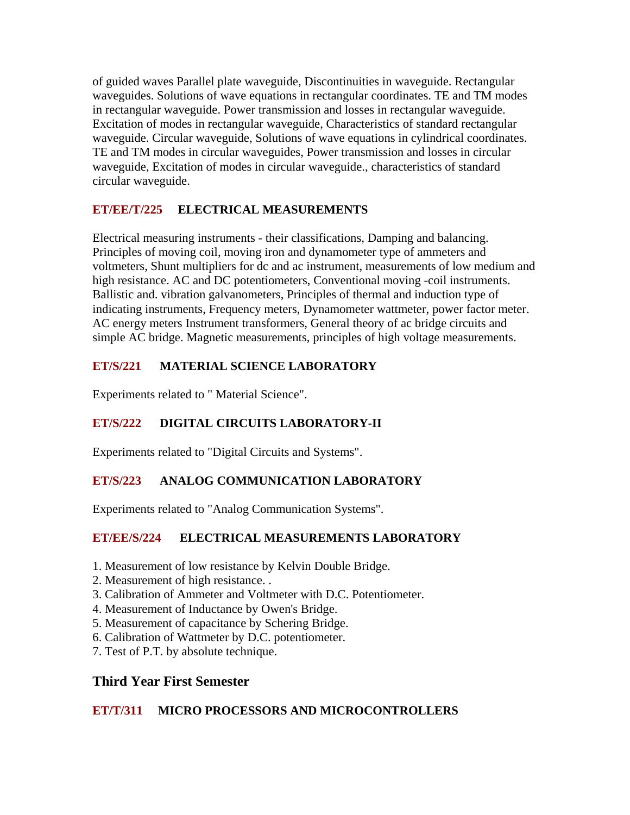of guided waves Parallel plate waveguide, Discontinuities in waveguide. Rectangular waveguides. Solutions of wave equations in rectangular coordinates. TE and TM modes in rectangular waveguide. Power transmission and losses in rectangular waveguide. Excitation of modes in rectangular waveguide, Characteristics of standard rectangular waveguide. Circular waveguide, Solutions of wave equations in cylindrical coordinates. TE and TM modes in circular waveguides, Power transmission and losses in circular waveguide, Excitation of modes in circular waveguide., characteristics of standard circular waveguide.

# **ET/EE/T/225 ELECTRICAL MEASUREMENTS**

Electrical measuring instruments - their classifications, Damping and balancing. Principles of moving coil, moving iron and dynamometer type of ammeters and voltmeters, Shunt multipliers for dc and ac instrument, measurements of low medium and high resistance. AC and DC potentiometers, Conventional moving -coil instruments. Ballistic and. vibration galvanometers, Principles of thermal and induction type of indicating instruments, Frequency meters, Dynamometer wattmeter, power factor meter. AC energy meters Instrument transformers, General theory of ac bridge circuits and simple AC bridge. Magnetic measurements, principles of high voltage measurements.

## **ET/S/221 MATERIAL SCIENCE LABORATORY**

Experiments related to " Material Science".

# **ET/S/222 DIGITAL CIRCUITS LABORATORY-II**

Experiments related to "Digital Circuits and Systems".

# **ET/S/223 ANALOG COMMUNICATION LABORATORY**

Experiments related to "Analog Communication Systems".

# **ET/EE/S/224 ELECTRICAL MEASUREMENTS LABORATORY**

- 1. Measurement of low resistance by Kelvin Double Bridge.
- 2. Measurement of high resistance. .
- 3. Calibration of Ammeter and Voltmeter with D.C. Potentiometer.
- 4. Measurement of Inductance by Owen's Bridge.
- 5. Measurement of capacitance by Schering Bridge.
- 6. Calibration of Wattmeter by D.C. potentiometer.
- 7. Test of P.T. by absolute technique.

# **Third Year First Semester**

## **ET/T/311 MICRO PROCESSORS AND MICROCONTROLLERS**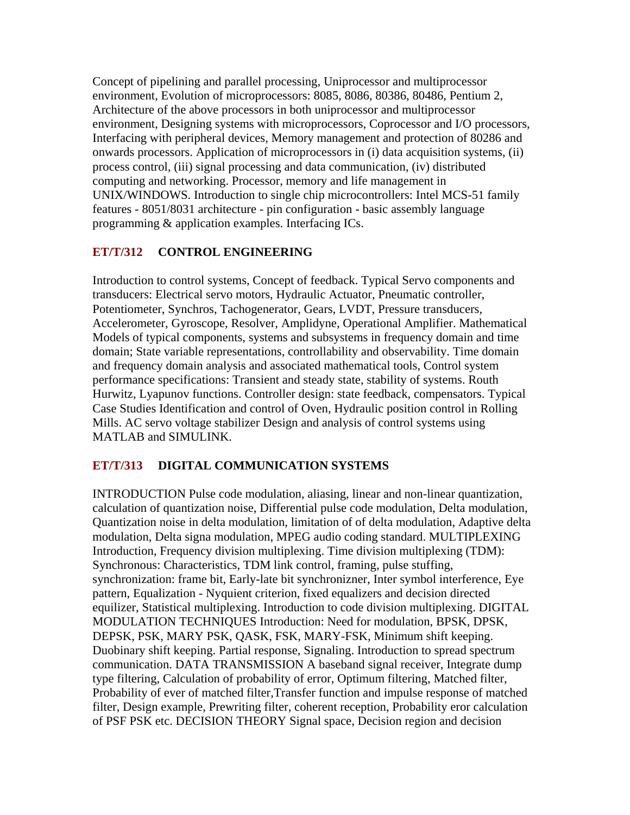Concept of pipelining and parallel processing, Uniprocessor and multiprocessor environment, Evolution of microprocessors: 8085, 8086, 80386, 80486, Pentium 2, Architecture of the above processors in both uniprocessor and multiprocessor environment, Designing systems with microprocessors, Coprocessor and I/O processors, Interfacing with peripheral devices, Memory management and protection of 80286 and onwards processors. Application of microprocessors in (i) data acquisition systems, (ii) process control, (iii) signal processing and data communication, (iv) distributed computing and networking. Processor, memory and life management in UNIX/WINDOWS. Introduction to single chip microcontrollers: Intel MCS-51 family features - 8051/8031 architecture - pin configuration - basic assembly language programming & application examples. Interfacing ICs.

## **ET/T/312 CONTROL ENGINEERING**

Introduction to control systems, Concept of feedback. Typical Servo components and transducers: Electrical servo motors, Hydraulic Actuator, Pneumatic controller, Potentiometer, Synchros, Tachogenerator, Gears, LVDT, Pressure transducers, Accelerometer, Gyroscope, Resolver, Amplidyne, Operational Amplifier. Mathematical Models of typical components, systems and subsystems in frequency domain and time domain; State variable representations, controllability and observability. Time domain and frequency domain analysis and associated mathematical tools, Control system performance specifications: Transient and steady state, stability of systems. Routh Hurwitz, Lyapunov functions. Controller design: state feedback, compensators. Typical Case Studies Identification and control of Oven, Hydraulic position control in Rolling Mills. AC servo voltage stabilizer Design and analysis of control systems using MATLAB and SIMULINK.

## **ET/T/313 DIGITAL COMMUNICATION SYSTEMS**

INTRODUCTION Pulse code modulation, aliasing, linear and non-linear quantization, calculation of quantization noise, Differential pulse code modulation, Delta modulation, Quantization noise in delta modulation, limitation of of delta modulation, Adaptive delta modulation, Delta signa modulation, MPEG audio coding standard. MULTIPLEXING Introduction, Frequency division multiplexing. Time division multiplexing (TDM): Synchronous: Characteristics, TDM link control, framing, pulse stuffing, synchronization: frame bit, Early-late bit synchronizner, Inter symbol interference, Eye pattern, Equalization - Nyquient criterion, fixed equalizers and decision directed equilizer, Statistical multiplexing. Introduction to code division multiplexing. DIGITAL MODULATION TECHNIQUES Introduction: Need for modulation, BPSK, DPSK, DEPSK, PSK, MARY PSK, QASK, FSK, MARY-FSK, Minimum shift keeping. Duobinary shift keeping. Partial response, Signaling. Introduction to spread spectrum communication. DATA TRANSMISSION A baseband signal receiver, Integrate dump type filtering, Calculation of probability of error, Optimum filtering, Matched filter, Probability of ever of matched filter,Transfer function and impulse response of matched filter, Design example, Prewriting filter, coherent reception, Probability eror calculation of PSF PSK etc. DECISION THEORY Signal space, Decision region and decision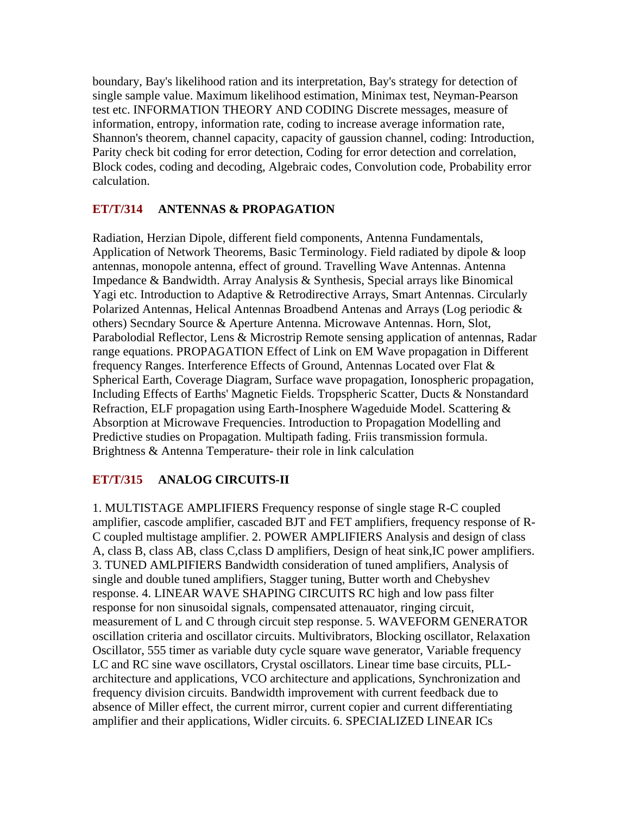boundary, Bay's likelihood ration and its interpretation, Bay's strategy for detection of single sample value. Maximum likelihood estimation, Minimax test, Neyman-Pearson test etc. INFORMATION THEORY AND CODING Discrete messages, measure of information, entropy, information rate, coding to increase average information rate, Shannon's theorem, channel capacity, capacity of gaussion channel, coding: Introduction, Parity check bit coding for error detection, Coding for error detection and correlation, Block codes, coding and decoding, Algebraic codes, Convolution code, Probability error calculation.

## **ET/T/314 ANTENNAS & PROPAGATION**

Radiation, Herzian Dipole, different field components, Antenna Fundamentals, Application of Network Theorems, Basic Terminology. Field radiated by dipole & loop antennas, monopole antenna, effect of ground. Travelling Wave Antennas. Antenna Impedance & Bandwidth. Array Analysis & Synthesis, Special arrays like Binomical Yagi etc. Introduction to Adaptive & Retrodirective Arrays, Smart Antennas. Circularly Polarized Antennas, Helical Antennas Broadbend Antenas and Arrays (Log periodic & others) Secndary Source & Aperture Antenna. Microwave Antennas. Horn, Slot, Parabolodial Reflector, Lens & Microstrip Remote sensing application of antennas, Radar range equations. PROPAGATION Effect of Link on EM Wave propagation in Different frequency Ranges. Interference Effects of Ground, Antennas Located over Flat & Spherical Earth, Coverage Diagram, Surface wave propagation, Ionospheric propagation, Including Effects of Earths' Magnetic Fields. Tropspheric Scatter, Ducts & Nonstandard Refraction, ELF propagation using Earth-Inosphere Wageduide Model. Scattering & Absorption at Microwave Frequencies. Introduction to Propagation Modelling and Predictive studies on Propagation. Multipath fading. Friis transmission formula. Brightness & Antenna Temperature- their role in link calculation

## **ET/T/315 ANALOG CIRCUITS-II**

1. MULTISTAGE AMPLIFIERS Frequency response of single stage R-C coupled amplifier, cascode amplifier, cascaded BJT and FET amplifiers, frequency response of R-C coupled multistage amplifier. 2. POWER AMPLIFIERS Analysis and design of class A, class B, class AB, class C,class D amplifiers, Design of heat sink,IC power amplifiers. 3. TUNED AMLPIFIERS Bandwidth consideration of tuned amplifiers, Analysis of single and double tuned amplifiers, Stagger tuning, Butter worth and Chebyshev response. 4. LINEAR WAVE SHAPING CIRCUITS RC high and low pass filter response for non sinusoidal signals, compensated attenauator, ringing circuit, measurement of L and C through circuit step response. 5. WAVEFORM GENERATOR oscillation criteria and oscillator circuits. Multivibrators, Blocking oscillator, Relaxation Oscillator, 555 timer as variable duty cycle square wave generator, Variable frequency LC and RC sine wave oscillators, Crystal oscillators. Linear time base circuits, PLLarchitecture and applications, VCO architecture and applications, Synchronization and frequency division circuits. Bandwidth improvement with current feedback due to absence of Miller effect, the current mirror, current copier and current differentiating amplifier and their applications, Widler circuits. 6. SPECIALIZED LINEAR ICs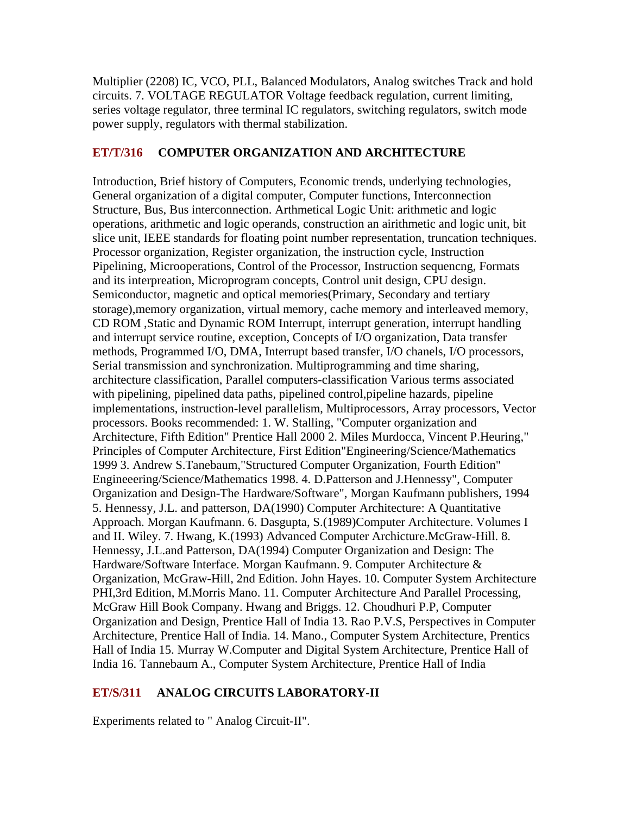Multiplier (2208) IC, VCO, PLL, Balanced Modulators, Analog switches Track and hold circuits. 7. VOLTAGE REGULATOR Voltage feedback regulation, current limiting, series voltage regulator, three terminal IC regulators, switching regulators, switch mode power supply, regulators with thermal stabilization.

#### **ET/T/316 COMPUTER ORGANIZATION AND ARCHITECTURE**

Introduction, Brief history of Computers, Economic trends, underlying technologies, General organization of a digital computer, Computer functions, Interconnection Structure, Bus, Bus interconnection. Arthmetical Logic Unit: arithmetic and logic operations, arithmetic and logic operands, construction an airithmetic and logic unit, bit slice unit, IEEE standards for floating point number representation, truncation techniques. Processor organization, Register organization, the instruction cycle, Instruction Pipelining, Microoperations, Control of the Processor, Instruction sequencng, Formats and its interpreation, Microprogram concepts, Control unit design, CPU design. Semiconductor, magnetic and optical memories(Primary, Secondary and tertiary storage),memory organization, virtual memory, cache memory and interleaved memory, CD ROM ,Static and Dynamic ROM Interrupt, interrupt generation, interrupt handling and interrupt service routine, exception, Concepts of I/O organization, Data transfer methods, Programmed I/O, DMA, Interrupt based transfer, I/O chanels, I/O processors, Serial transmission and synchronization. Multiprogramming and time sharing, architecture classification, Parallel computers-classification Various terms associated with pipelining, pipelined data paths, pipelined control,pipeline hazards, pipeline implementations, instruction-level parallelism, Multiprocessors, Array processors, Vector processors. Books recommended: 1. W. Stalling, "Computer organization and Architecture, Fifth Edition" Prentice Hall 2000 2. Miles Murdocca, Vincent P.Heuring," Principles of Computer Architecture, First Edition"Engineering/Science/Mathematics 1999 3. Andrew S.Tanebaum,"Structured Computer Organization, Fourth Edition" Engineeering/Science/Mathematics 1998. 4. D.Patterson and J.Hennessy", Computer Organization and Design-The Hardware/Software", Morgan Kaufmann publishers, 1994 5. Hennessy, J.L. and patterson, DA(1990) Computer Architecture: A Quantitative Approach. Morgan Kaufmann. 6. Dasgupta, S.(1989)Computer Architecture. Volumes I and II. Wiley. 7. Hwang, K.(1993) Advanced Computer Archicture.McGraw-Hill. 8. Hennessy, J.L.and Patterson, DA(1994) Computer Organization and Design: The Hardware/Software Interface. Morgan Kaufmann. 9. Computer Architecture & Organization, McGraw-Hill, 2nd Edition. John Hayes. 10. Computer System Architecture PHI,3rd Edition, M.Morris Mano. 11. Computer Architecture And Parallel Processing, McGraw Hill Book Company. Hwang and Briggs. 12. Choudhuri P.P, Computer Organization and Design, Prentice Hall of India 13. Rao P.V.S, Perspectives in Computer Architecture, Prentice Hall of India. 14. Mano., Computer System Architecture, Prentics Hall of India 15. Murray W.Computer and Digital System Architecture, Prentice Hall of India 16. Tannebaum A., Computer System Architecture, Prentice Hall of India

## **ET/S/311 ANALOG CIRCUITS LABORATORY-II**

Experiments related to " Analog Circuit-II".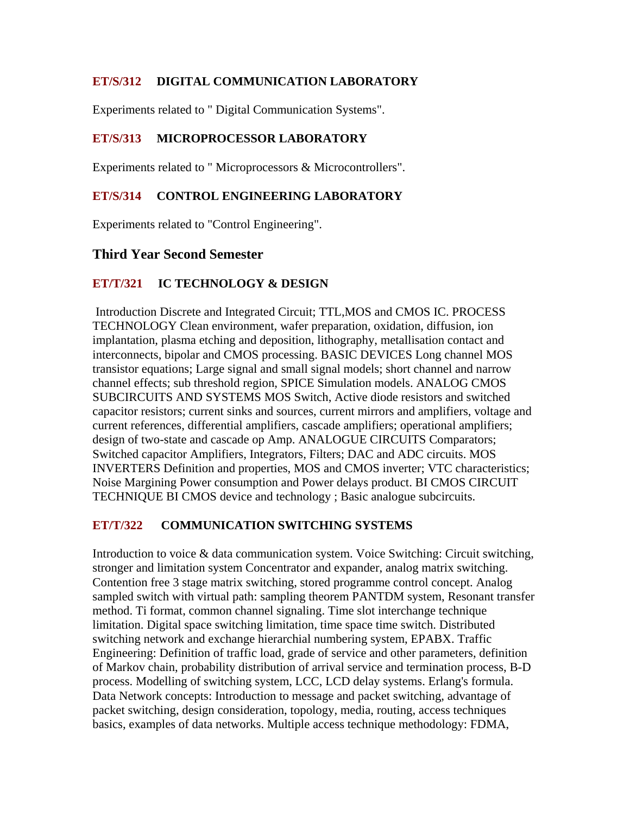## **ET/S/312 DIGITAL COMMUNICATION LABORATORY**

Experiments related to " Digital Communication Systems".

#### **ET/S/313 MICROPROCESSOR LABORATORY**

Experiments related to " Microprocessors & Microcontrollers".

#### **ET/S/314 CONTROL ENGINEERING LABORATORY**

Experiments related to "Control Engineering".

## **Third Year Second Semester**

#### **ET/T/321 IC TECHNOLOGY & DESIGN**

 Introduction Discrete and Integrated Circuit; TTL,MOS and CMOS IC. PROCESS TECHNOLOGY Clean environment, wafer preparation, oxidation, diffusion, ion implantation, plasma etching and deposition, lithography, metallisation contact and interconnects, bipolar and CMOS processing. BASIC DEVICES Long channel MOS transistor equations; Large signal and small signal models; short channel and narrow channel effects; sub threshold region, SPICE Simulation models. ANALOG CMOS SUBCIRCUITS AND SYSTEMS MOS Switch, Active diode resistors and switched capacitor resistors; current sinks and sources, current mirrors and amplifiers, voltage and current references, differential amplifiers, cascade amplifiers; operational amplifiers; design of two-state and cascade op Amp. ANALOGUE CIRCUITS Comparators; Switched capacitor Amplifiers, Integrators, Filters; DAC and ADC circuits. MOS INVERTERS Definition and properties, MOS and CMOS inverter; VTC characteristics; Noise Margining Power consumption and Power delays product. BI CMOS CIRCUIT TECHNIQUE BI CMOS device and technology ; Basic analogue subcircuits.

#### **ET/T/322 COMMUNICATION SWITCHING SYSTEMS**

Introduction to voice & data communication system. Voice Switching: Circuit switching, stronger and limitation system Concentrator and expander, analog matrix switching. Contention free 3 stage matrix switching, stored programme control concept. Analog sampled switch with virtual path: sampling theorem PANTDM system, Resonant transfer method. Ti format, common channel signaling. Time slot interchange technique limitation. Digital space switching limitation, time space time switch. Distributed switching network and exchange hierarchial numbering system, EPABX. Traffic Engineering: Definition of traffic load, grade of service and other parameters, definition of Markov chain, probability distribution of arrival service and termination process, B-D process. Modelling of switching system, LCC, LCD delay systems. Erlang's formula. Data Network concepts: Introduction to message and packet switching, advantage of packet switching, design consideration, topology, media, routing, access techniques basics, examples of data networks. Multiple access technique methodology: FDMA,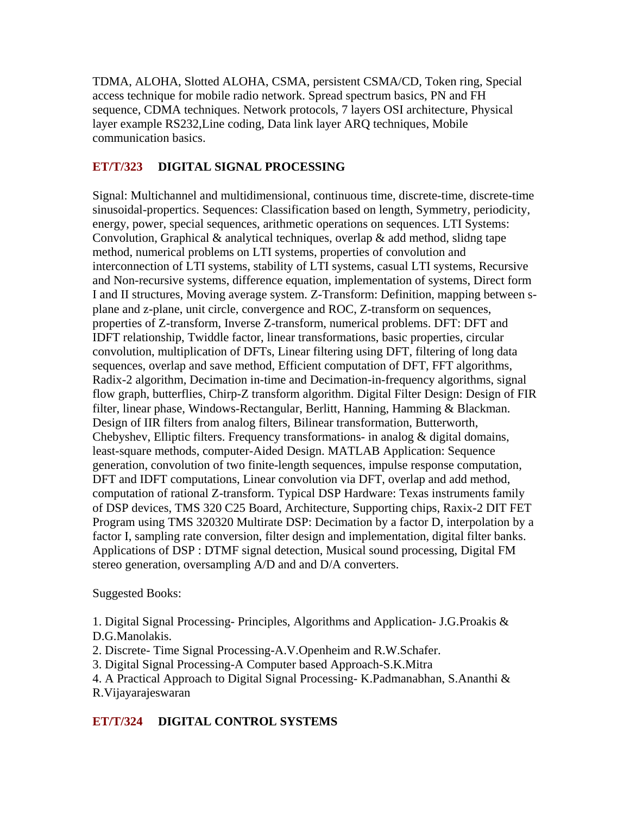TDMA, ALOHA, Slotted ALOHA, CSMA, persistent CSMA/CD, Token ring, Special access technique for mobile radio network. Spread spectrum basics, PN and FH sequence, CDMA techniques. Network protocols, 7 layers OSI architecture, Physical layer example RS232,Line coding, Data link layer ARQ techniques, Mobile communication basics.

#### **ET/T/323 DIGITAL SIGNAL PROCESSING**

Signal: Multichannel and multidimensional, continuous time, discrete-time, discrete-time sinusoidal-propertics. Sequences: Classification based on length, Symmetry, periodicity, energy, power, special sequences, arithmetic operations on sequences. LTI Systems: Convolution, Graphical  $\&$  analytical techniques, overlap  $\&$  add method, slidng tape method, numerical problems on LTI systems, properties of convolution and interconnection of LTI systems, stability of LTI systems, casual LTI systems, Recursive and Non-recursive systems, difference equation, implementation of systems, Direct form I and II structures, Moving average system. Z-Transform: Definition, mapping between splane and z-plane, unit circle, convergence and ROC, Z-transform on sequences, properties of Z-transform, Inverse Z-transform, numerical problems. DFT: DFT and IDFT relationship, Twiddle factor, linear transformations, basic properties, circular convolution, multiplication of DFTs, Linear filtering using DFT, filtering of long data sequences, overlap and save method, Efficient computation of DFT, FFT algorithms, Radix-2 algorithm, Decimation in-time and Decimation-in-frequency algorithms, signal flow graph, butterflies, Chirp-Z transform algorithm. Digital Filter Design: Design of FIR filter, linear phase, Windows-Rectangular, Berlitt, Hanning, Hamming & Blackman. Design of IIR filters from analog filters, Bilinear transformation, Butterworth, Chebyshev, Elliptic filters. Frequency transformations- in analog & digital domains, least-square methods, computer-Aided Design. MATLAB Application: Sequence generation, convolution of two finite-length sequences, impulse response computation, DFT and IDFT computations, Linear convolution via DFT, overlap and add method, computation of rational Z-transform. Typical DSP Hardware: Texas instruments family of DSP devices, TMS 320 C25 Board, Architecture, Supporting chips, Raxix-2 DIT FET Program using TMS 320320 Multirate DSP: Decimation by a factor D, interpolation by a factor I, sampling rate conversion, filter design and implementation, digital filter banks. Applications of DSP : DTMF signal detection, Musical sound processing, Digital FM stereo generation, oversampling A/D and and D/A converters.

Suggested Books:

1. Digital Signal Processing- Principles, Algorithms and Application- J.G.Proakis & D.G.Manolakis.

2. Discrete- Time Signal Processing-A.V.Openheim and R.W.Schafer.

3. Digital Signal Processing-A Computer based Approach-S.K.Mitra

4. A Practical Approach to Digital Signal Processing- K.Padmanabhan, S.Ananthi &

R.Vijayarajeswaran

## **ET/T/324 DIGITAL CONTROL SYSTEMS**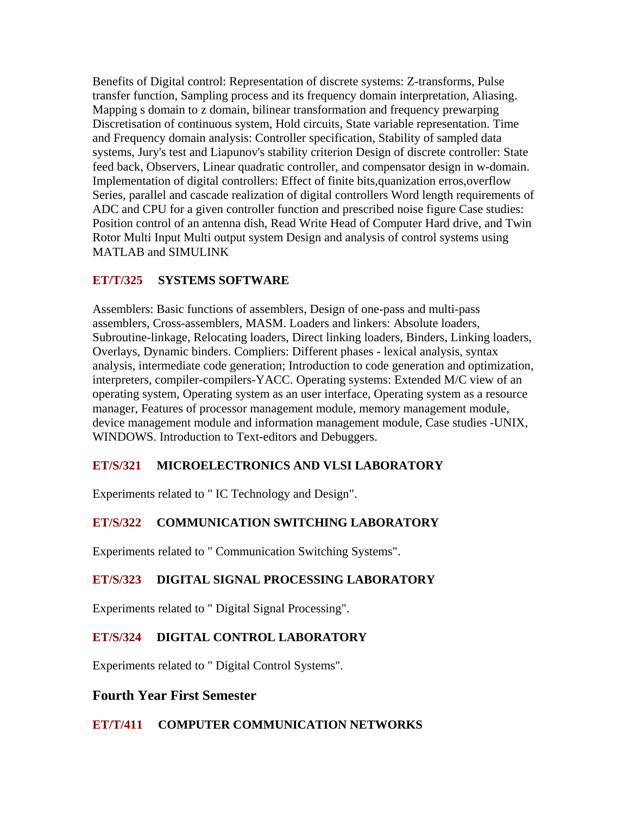Benefits of Digital control: Representation of discrete systems: Z-transforms, Pulse transfer function, Sampling process and its frequency domain interpretation, Aliasing. Mapping s domain to z domain, bilinear transformation and frequency prewarping Discretisation of continuous system, Hold circuits, State variable representation. Time and Frequency domain analysis: Controller specification, Stability of sampled data systems, Jury's test and Liapunov's stability criterion Design of discrete controller: State feed back, Observers, Linear quadratic controller, and compensator design in w-domain. Implementation of digital controllers: Effect of finite bits,quanization erros,overflow Series, parallel and cascade realization of digital controllers Word length requirements of ADC and CPU for a given controller function and prescribed noise figure Case studies: Position control of an antenna dish, Read Write Head of Computer Hard drive, and Twin Rotor Multi Input Multi output system Design and analysis of control systems using MATLAB and SIMULINK

#### **ET/T/325 SYSTEMS SOFTWARE**

Assemblers: Basic functions of assemblers, Design of one-pass and multi-pass assemblers, Cross-assemblers, MASM. Loaders and linkers: Absolute loaders, Subroutine-linkage, Relocating loaders, Direct linking loaders, Binders, Linking loaders, Overlays, Dynamic binders. Compliers: Different phases - lexical analysis, syntax analysis, intermediate code generation; Introduction to code generation and optimization, interpreters, compiler-compilers-YACC. Operating systems: Extended M/C view of an operating system, Operating system as an user interface, Operating system as a resource manager, Features of processor management module, memory management module, device management module and information management module, Case studies -UNIX, WINDOWS. Introduction to Text-editors and Debuggers.

#### **ET/S/321 MICROELECTRONICS AND VLSI LABORATORY**

Experiments related to " IC Technology and Design".

## **ET/S/322 COMMUNICATION SWITCHING LABORATORY**

Experiments related to " Communication Switching Systems".

## **ET/S/323 DIGITAL SIGNAL PROCESSING LABORATORY**

Experiments related to " Digital Signal Processing".

## **ET/S/324 DIGITAL CONTROL LABORATORY**

Experiments related to " Digital Control Systems".

## **Fourth Year First Semester**

#### **ET/T/411 COMPUTER COMMUNICATION NETWORKS**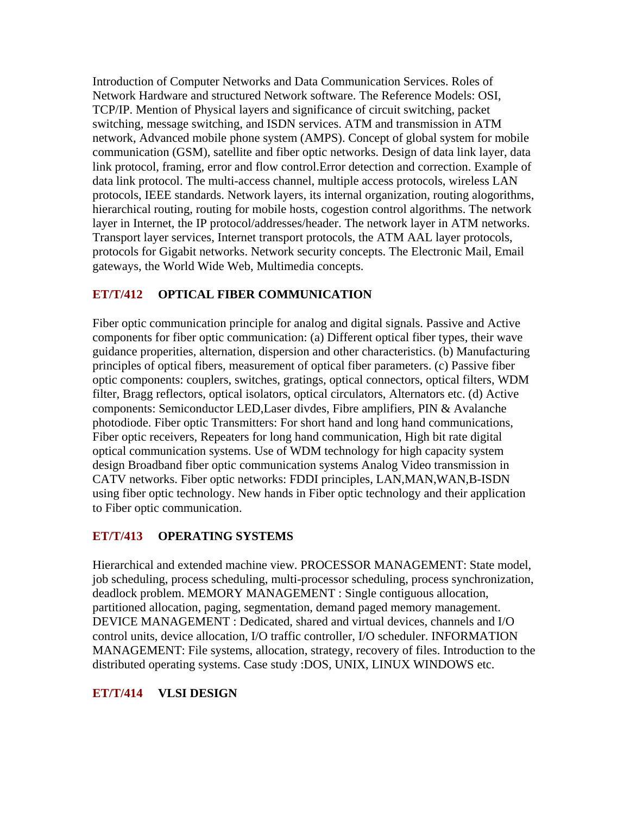Introduction of Computer Networks and Data Communication Services. Roles of Network Hardware and structured Network software. The Reference Models: OSI, TCP/IP. Mention of Physical layers and significance of circuit switching, packet switching, message switching, and ISDN services. ATM and transmission in ATM network, Advanced mobile phone system (AMPS). Concept of global system for mobile communication (GSM), satellite and fiber optic networks. Design of data link layer, data link protocol, framing, error and flow control.Error detection and correction. Example of data link protocol. The multi-access channel, multiple access protocols, wireless LAN protocols, IEEE standards. Network layers, its internal organization, routing alogorithms, hierarchical routing, routing for mobile hosts, cogestion control algorithms. The network layer in Internet, the IP protocol/addresses/header. The network layer in ATM networks. Transport layer services, Internet transport protocols, the ATM AAL layer protocols, protocols for Gigabit networks. Network security concepts. The Electronic Mail, Email gateways, the World Wide Web, Multimedia concepts.

## **ET/T/412 OPTICAL FIBER COMMUNICATION**

Fiber optic communication principle for analog and digital signals. Passive and Active components for fiber optic communication: (a) Different optical fiber types, their wave guidance properities, alternation, dispersion and other characteristics. (b) Manufacturing principles of optical fibers, measurement of optical fiber parameters. (c) Passive fiber optic components: couplers, switches, gratings, optical connectors, optical filters, WDM filter, Bragg reflectors, optical isolators, optical circulators, Alternators etc. (d) Active components: Semiconductor LED,Laser divdes, Fibre amplifiers, PIN & Avalanche photodiode. Fiber optic Transmitters: For short hand and long hand communications, Fiber optic receivers, Repeaters for long hand communication, High bit rate digital optical communication systems. Use of WDM technology for high capacity system design Broadband fiber optic communication systems Analog Video transmission in CATV networks. Fiber optic networks: FDDI principles, LAN,MAN,WAN,B-ISDN using fiber optic technology. New hands in Fiber optic technology and their application to Fiber optic communication.

## **ET/T/413 OPERATING SYSTEMS**

Hierarchical and extended machine view. PROCESSOR MANAGEMENT: State model, job scheduling, process scheduling, multi-processor scheduling, process synchronization, deadlock problem. MEMORY MANAGEMENT : Single contiguous allocation, partitioned allocation, paging, segmentation, demand paged memory management. DEVICE MANAGEMENT : Dedicated, shared and virtual devices, channels and I/O control units, device allocation, I/O traffic controller, I/O scheduler. INFORMATION MANAGEMENT: File systems, allocation, strategy, recovery of files. Introduction to the distributed operating systems. Case study :DOS, UNIX, LINUX WINDOWS etc.

## **ET/T/414 VLSI DESIGN**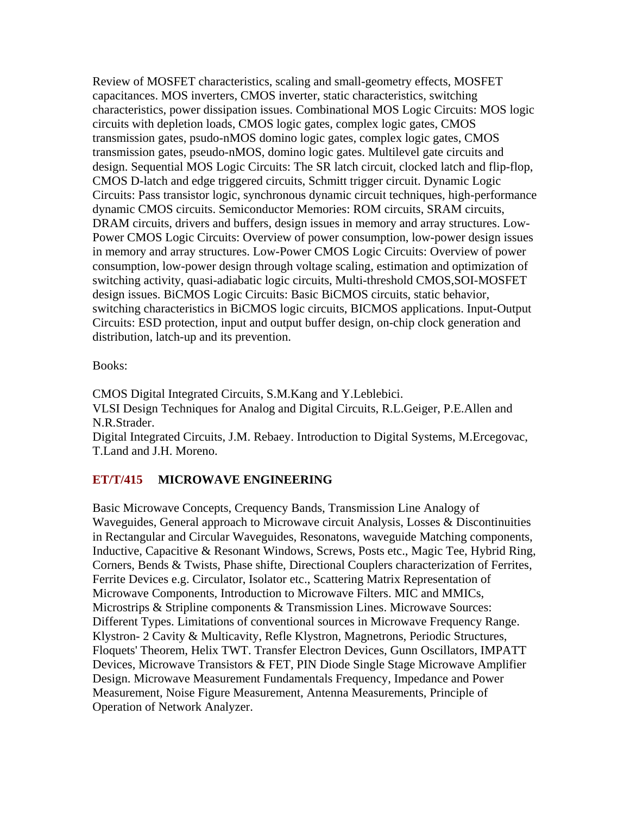Review of MOSFET characteristics, scaling and small-geometry effects, MOSFET capacitances. MOS inverters, CMOS inverter, static characteristics, switching characteristics, power dissipation issues. Combinational MOS Logic Circuits: MOS logic circuits with depletion loads, CMOS logic gates, complex logic gates, CMOS transmission gates, psudo-nMOS domino logic gates, complex logic gates, CMOS transmission gates, pseudo-nMOS, domino logic gates. Multilevel gate circuits and design. Sequential MOS Logic Circuits: The SR latch circuit, clocked latch and flip-flop, CMOS D-latch and edge triggered circuits, Schmitt trigger circuit. Dynamic Logic Circuits: Pass transistor logic, synchronous dynamic circuit techniques, high-performance dynamic CMOS circuits. Semiconductor Memories: ROM circuits, SRAM circuits, DRAM circuits, drivers and buffers, design issues in memory and array structures. Low-Power CMOS Logic Circuits: Overview of power consumption, low-power design issues in memory and array structures. Low-Power CMOS Logic Circuits: Overview of power consumption, low-power design through voltage scaling, estimation and optimization of switching activity, quasi-adiabatic logic circuits, Multi-threshold CMOS,SOI-MOSFET design issues. BiCMOS Logic Circuits: Basic BiCMOS circuits, static behavior, switching characteristics in BiCMOS logic circuits, BICMOS applications. Input-Output Circuits: ESD protection, input and output buffer design, on-chip clock generation and distribution, latch-up and its prevention.

#### Books:

CMOS Digital Integrated Circuits, S.M.Kang and Y.Leblebici. VLSI Design Techniques for Analog and Digital Circuits, R.L.Geiger, P.E.Allen and N.R.Strader. Digital Integrated Circuits, J.M. Rebaey. Introduction to Digital Systems, M.Ercegovac, T.Land and J.H. Moreno.

#### **ET/T/415 MICROWAVE ENGINEERING**

Basic Microwave Concepts, Crequency Bands, Transmission Line Analogy of Waveguides, General approach to Microwave circuit Analysis, Losses & Discontinuities in Rectangular and Circular Waveguides, Resonatons, waveguide Matching components, Inductive, Capacitive & Resonant Windows, Screws, Posts etc., Magic Tee, Hybrid Ring, Corners, Bends & Twists, Phase shifte, Directional Couplers characterization of Ferrites, Ferrite Devices e.g. Circulator, Isolator etc., Scattering Matrix Representation of Microwave Components, Introduction to Microwave Filters. MIC and MMICs, Microstrips & Stripline components & Transmission Lines. Microwave Sources: Different Types. Limitations of conventional sources in Microwave Frequency Range. Klystron- 2 Cavity & Multicavity, Refle Klystron, Magnetrons, Periodic Structures, Floquets' Theorem, Helix TWT. Transfer Electron Devices, Gunn Oscillators, IMPATT Devices, Microwave Transistors & FET, PIN Diode Single Stage Microwave Amplifier Design. Microwave Measurement Fundamentals Frequency, Impedance and Power Measurement, Noise Figure Measurement, Antenna Measurements, Principle of Operation of Network Analyzer.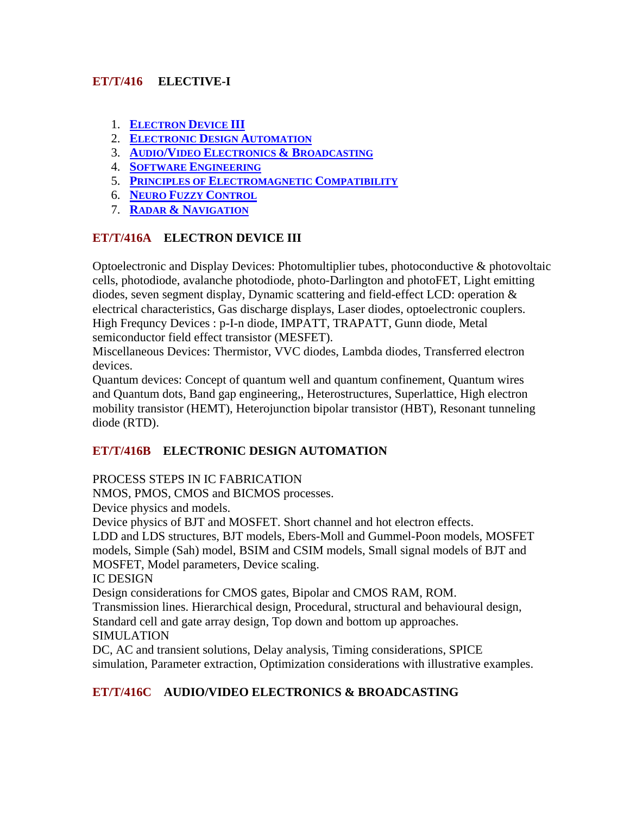## **ET/T/416 ELECTIVE-I**

- 1. **ELECTRON DEVICE III**
- 2. **ELECTRONIC DESIGN AUTOMATION**
- 3. **AUDIO/VIDEO ELECTRONICS & BROADCASTING**
- 4. **SOFTWARE ENGINEERING**
- 5. **PRINCIPLES OF ELECTROMAGNETIC COMPATIBILITY**
- 6. **NEURO FUZZY CONTROL**
- 7. **RADAR & NAVIGATION**

## **ET/T/416A ELECTRON DEVICE III**

Optoelectronic and Display Devices: Photomultiplier tubes, photoconductive & photovoltaic cells, photodiode, avalanche photodiode, photo-Darlington and photoFET, Light emitting diodes, seven segment display, Dynamic scattering and field-effect LCD: operation & electrical characteristics, Gas discharge displays, Laser diodes, optoelectronic couplers. High Frequncy Devices : p-I-n diode, IMPATT, TRAPATT, Gunn diode, Metal semiconductor field effect transistor (MESFET).

Miscellaneous Devices: Thermistor, VVC diodes, Lambda diodes, Transferred electron devices.

Quantum devices: Concept of quantum well and quantum confinement, Quantum wires and Quantum dots, Band gap engineering,, Heterostructures, Superlattice, High electron mobility transistor (HEMT), Heterojunction bipolar transistor (HBT), Resonant tunneling diode (RTD).

# **ET/T/416B ELECTRONIC DESIGN AUTOMATION**

## PROCESS STEPS IN IC FABRICATION

NMOS, PMOS, CMOS and BICMOS processes.

Device physics and models.

Device physics of BJT and MOSFET. Short channel and hot electron effects.

LDD and LDS structures, BJT models, Ebers-Moll and Gummel-Poon models, MOSFET models, Simple (Sah) model, BSIM and CSIM models, Small signal models of BJT and MOSFET, Model parameters, Device scaling.

IC DESIGN

Design considerations for CMOS gates, Bipolar and CMOS RAM, ROM.

Transmission lines. Hierarchical design, Procedural, structural and behavioural design, Standard cell and gate array design, Top down and bottom up approaches.

## SIMULATION

DC, AC and transient solutions, Delay analysis, Timing considerations, SPICE simulation, Parameter extraction, Optimization considerations with illustrative examples.

# **ET/T/416C AUDIO/VIDEO ELECTRONICS & BROADCASTING**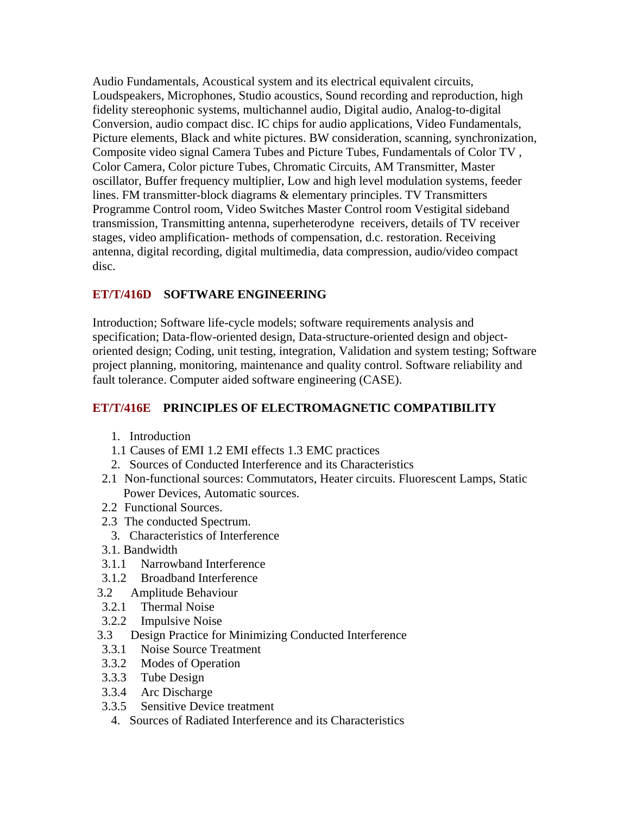Audio Fundamentals, Acoustical system and its electrical equivalent circuits, Loudspeakers, Microphones, Studio acoustics, Sound recording and reproduction, high fidelity stereophonic systems, multichannel audio, Digital audio, Analog-to-digital Conversion, audio compact disc. IC chips for audio applications, Video Fundamentals, Picture elements, Black and white pictures. BW consideration, scanning, synchronization, Composite video signal Camera Tubes and Picture Tubes, Fundamentals of Color TV , Color Camera, Color picture Tubes, Chromatic Circuits, AM Transmitter, Master oscillator, Buffer frequency multiplier, Low and high level modulation systems, feeder lines. FM transmitter-block diagrams & elementary principles. TV Transmitters Programme Control room, Video Switches Master Control room Vestigital sideband transmission, Transmitting antenna, superheterodyne receivers, details of TV receiver stages, video amplification- methods of compensation, d.c. restoration. Receiving antenna, digital recording, digital multimedia, data compression, audio/video compact disc.

## **ET/T/416D SOFTWARE ENGINEERING**

Introduction; Software life-cycle models; software requirements analysis and specification; Data-flow-oriented design, Data-structure-oriented design and objectoriented design; Coding, unit testing, integration, Validation and system testing; Software project planning, monitoring, maintenance and quality control. Software reliability and fault tolerance. Computer aided software engineering (CASE).

# **ET/T/416E PRINCIPLES OF ELECTROMAGNETIC COMPATIBILITY**

- 1. Introduction
- 1.1 Causes of EMI 1.2 EMI effects 1.3 EMC practices
- 2. Sources of Conducted Interference and its Characteristics
- 2.1 Non-functional sources: Commutators, Heater circuits. Fluorescent Lamps, Static Power Devices, Automatic sources.
- 2.2 Functional Sources.
- 2.3 The conducted Spectrum.
	- 3. Characteristics of Interference
- 3.1. Bandwidth
- 3.1.1 Narrowband Interference
- 3.1.2 Broadband Interference
- 3.2 Amplitude Behaviour
- 3.2.1 Thermal Noise
- 3.2.2 Impulsive Noise
- 3.3 Design Practice for Minimizing Conducted Interference
- 3.3.1 Noise Source Treatment
- 3.3.2 Modes of Operation
- 3.3.3 Tube Design
- 3.3.4 Arc Discharge
- 3.3.5 Sensitive Device treatment
	- 4. Sources of Radiated Interference and its Characteristics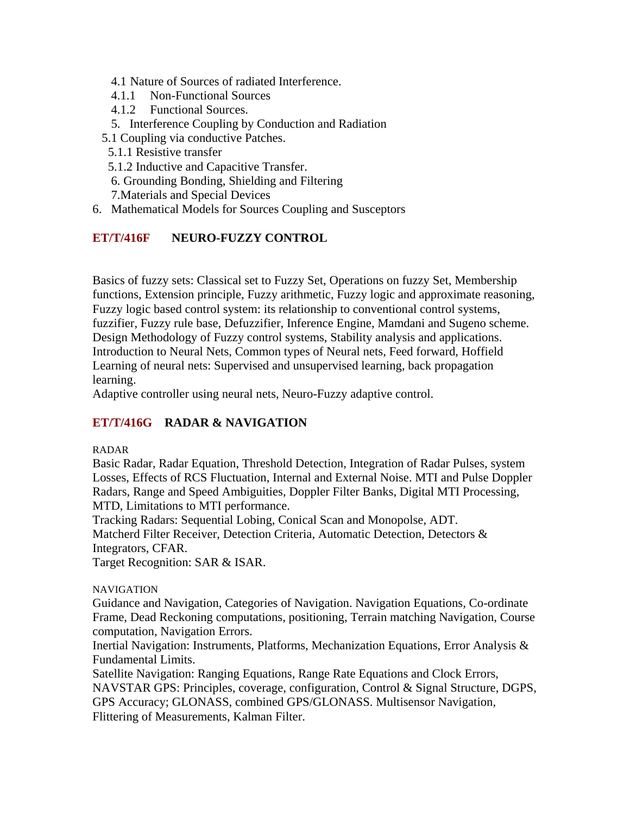- 4.1 Nature of Sources of radiated Interference.
- 4.1.1 Non-Functional Sources
- 4.1.2 Functional Sources.
- 5. Interference Coupling by Conduction and Radiation
- 5.1 Coupling via conductive Patches.
	- 5.1.1 Resistive transfer
	- 5.1.2 Inductive and Capacitive Transfer.
	- 6. Grounding Bonding, Shielding and Filtering
	- 7.Materials and Special Devices
- 6. Mathematical Models for Sources Coupling and Susceptors

## **ET/T/416F NEURO-FUZZY CONTROL**

Basics of fuzzy sets: Classical set to Fuzzy Set, Operations on fuzzy Set, Membership functions, Extension principle, Fuzzy arithmetic, Fuzzy logic and approximate reasoning, Fuzzy logic based control system: its relationship to conventional control systems, fuzzifier, Fuzzy rule base, Defuzzifier, Inference Engine, Mamdani and Sugeno scheme. Design Methodology of Fuzzy control systems, Stability analysis and applications. Introduction to Neural Nets, Common types of Neural nets, Feed forward, Hoffield Learning of neural nets: Supervised and unsupervised learning, back propagation learning.

Adaptive controller using neural nets, Neuro-Fuzzy adaptive control.

## **ET/T/416G RADAR & NAVIGATION**

#### RADAR

Basic Radar, Radar Equation, Threshold Detection, Integration of Radar Pulses, system Losses, Effects of RCS Fluctuation, Internal and External Noise. MTI and Pulse Doppler Radars, Range and Speed Ambiguities, Doppler Filter Banks, Digital MTI Processing, MTD, Limitations to MTI performance.

Tracking Radars: Sequential Lobing, Conical Scan and Monopolse, ADT. Matcherd Filter Receiver, Detection Criteria, Automatic Detection, Detectors & Integrators, CFAR.

Target Recognition: SAR & ISAR.

#### NAVIGATION

Guidance and Navigation, Categories of Navigation. Navigation Equations, Co-ordinate Frame, Dead Reckoning computations, positioning, Terrain matching Navigation, Course computation, Navigation Errors.

Inertial Navigation: Instruments, Platforms, Mechanization Equations, Error Analysis & Fundamental Limits.

Satellite Navigation: Ranging Equations, Range Rate Equations and Clock Errors, NAVSTAR GPS: Principles, coverage, configuration, Control & Signal Structure, DGPS, GPS Accuracy; GLONASS, combined GPS/GLONASS. Multisensor Navigation, Flittering of Measurements, Kalman Filter.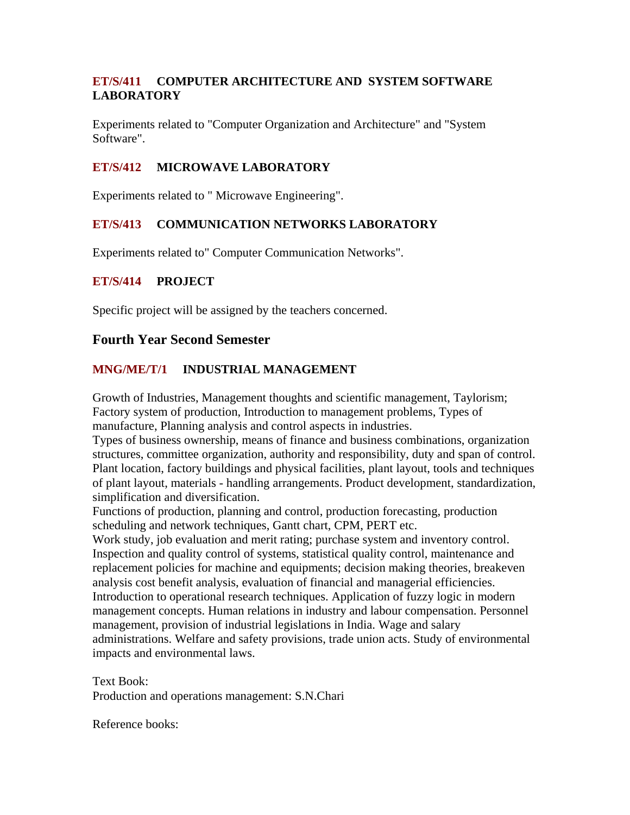## **ET/S/411 COMPUTER ARCHITECTURE AND SYSTEM SOFTWARE LABORATORY**

Experiments related to "Computer Organization and Architecture" and "System Software".

## **ET/S/412 MICROWAVE LABORATORY**

Experiments related to " Microwave Engineering".

## **ET/S/413 COMMUNICATION NETWORKS LABORATORY**

Experiments related to" Computer Communication Networks".

#### **ET/S/414 PROJECT**

Specific project will be assigned by the teachers concerned.

## **Fourth Year Second Semester**

#### **MNG/ME/T/1 INDUSTRIAL MANAGEMENT**

Growth of Industries, Management thoughts and scientific management, Taylorism; Factory system of production, Introduction to management problems, Types of manufacture, Planning analysis and control aspects in industries.

Types of business ownership, means of finance and business combinations, organization structures, committee organization, authority and responsibility, duty and span of control. Plant location, factory buildings and physical facilities, plant layout, tools and techniques of plant layout, materials - handling arrangements. Product development, standardization, simplification and diversification.

Functions of production, planning and control, production forecasting, production scheduling and network techniques, Gantt chart, CPM, PERT etc.

Work study, job evaluation and merit rating; purchase system and inventory control. Inspection and quality control of systems, statistical quality control, maintenance and replacement policies for machine and equipments; decision making theories, breakeven analysis cost benefit analysis, evaluation of financial and managerial efficiencies. Introduction to operational research techniques. Application of fuzzy logic in modern management concepts. Human relations in industry and labour compensation. Personnel management, provision of industrial legislations in India. Wage and salary administrations. Welfare and safety provisions, trade union acts. Study of environmental impacts and environmental laws.

Text Book: Production and operations management: S.N.Chari

Reference books: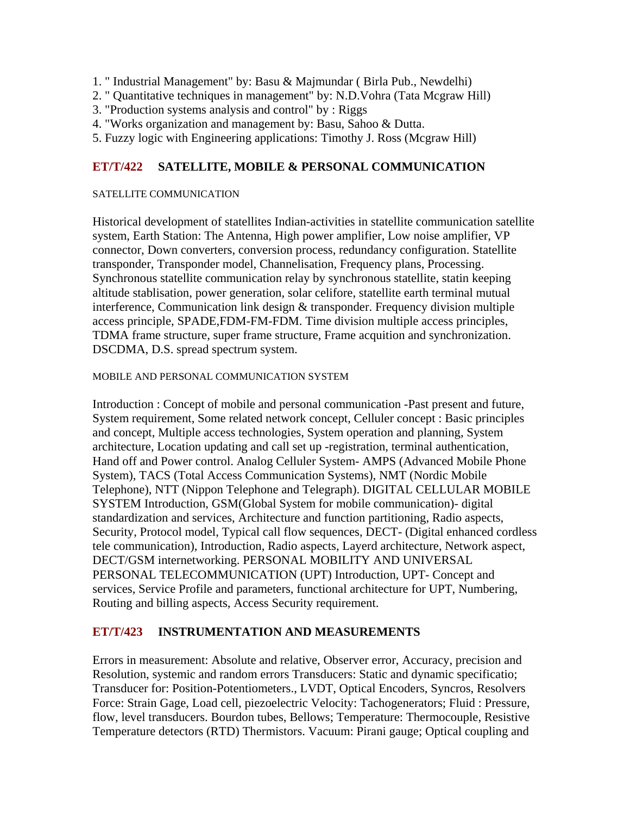- 1. " Industrial Management" by: Basu & Majmundar ( Birla Pub., Newdelhi)
- 2. " Quantitative techniques in management" by: N.D.Vohra (Tata Mcgraw Hill)
- 3. "Production systems analysis and control" by : Riggs
- 4. "Works organization and management by: Basu, Sahoo & Dutta.
- 5. Fuzzy logic with Engineering applications: Timothy J. Ross (Mcgraw Hill)

## **ET/T/422 SATELLITE, MOBILE & PERSONAL COMMUNICATION**

#### SATELLITE COMMUNICATION

Historical development of statellites Indian-activities in statellite communication satellite system, Earth Station: The Antenna, High power amplifier, Low noise amplifier, VP connector, Down converters, conversion process, redundancy configuration. Statellite transponder, Transponder model, Channelisation, Frequency plans, Processing. Synchronous statellite communication relay by synchronous statellite, statin keeping altitude stablisation, power generation, solar celifore, statellite earth terminal mutual interference, Communication link design & transponder. Frequency division multiple access principle, SPADE,FDM-FM-FDM. Time division multiple access principles, TDMA frame structure, super frame structure, Frame acquition and synchronization. DSCDMA, D.S. spread spectrum system.

#### MOBILE AND PERSONAL COMMUNICATION SYSTEM

Introduction : Concept of mobile and personal communication -Past present and future, System requirement, Some related network concept, Celluler concept : Basic principles and concept, Multiple access technologies, System operation and planning, System architecture, Location updating and call set up -registration, terminal authentication, Hand off and Power control. Analog Celluler System- AMPS (Advanced Mobile Phone System), TACS (Total Access Communication Systems), NMT (Nordic Mobile Telephone), NTT (Nippon Telephone and Telegraph). DIGITAL CELLULAR MOBILE SYSTEM Introduction, GSM(Global System for mobile communication)- digital standardization and services, Architecture and function partitioning, Radio aspects, Security, Protocol model, Typical call flow sequences, DECT- (Digital enhanced cordless tele communication), Introduction, Radio aspects, Layerd architecture, Network aspect, DECT/GSM internetworking. PERSONAL MOBILITY AND UNIVERSAL PERSONAL TELECOMMUNICATION (UPT) Introduction, UPT- Concept and services, Service Profile and parameters, functional architecture for UPT, Numbering, Routing and billing aspects, Access Security requirement.

## **ET/T/423 INSTRUMENTATION AND MEASUREMENTS**

Errors in measurement: Absolute and relative, Observer error, Accuracy, precision and Resolution, systemic and random errors Transducers: Static and dynamic specificatio; Transducer for: Position-Potentiometers., LVDT, Optical Encoders, Syncros, Resolvers Force: Strain Gage, Load cell, piezoelectric Velocity: Tachogenerators; Fluid : Pressure, flow, level transducers. Bourdon tubes, Bellows; Temperature: Thermocouple, Resistive Temperature detectors (RTD) Thermistors. Vacuum: Pirani gauge; Optical coupling and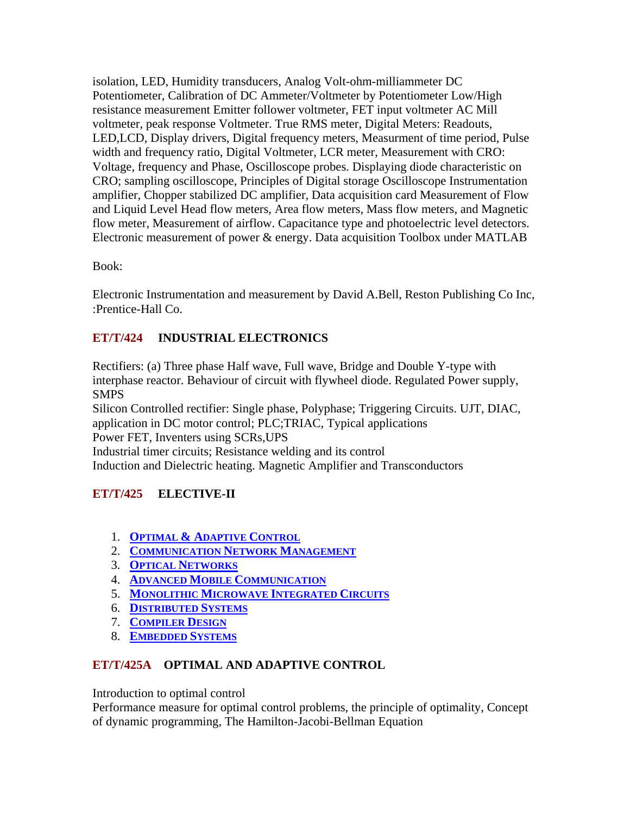isolation, LED, Humidity transducers, Analog Volt-ohm-milliammeter DC Potentiometer, Calibration of DC Ammeter/Voltmeter by Potentiometer Low/High resistance measurement Emitter follower voltmeter, FET input voltmeter AC Mill voltmeter, peak response Voltmeter. True RMS meter, Digital Meters: Readouts, LED,LCD, Display drivers, Digital frequency meters, Measurment of time period, Pulse width and frequency ratio, Digital Voltmeter, LCR meter, Measurement with CRO: Voltage, frequency and Phase, Oscilloscope probes. Displaying diode characteristic on CRO; sampling oscilloscope, Principles of Digital storage Oscilloscope Instrumentation amplifier, Chopper stabilized DC amplifier, Data acquisition card Measurement of Flow and Liquid Level Head flow meters, Area flow meters, Mass flow meters, and Magnetic flow meter, Measurement of airflow. Capacitance type and photoelectric level detectors. Electronic measurement of power & energy. Data acquisition Toolbox under MATLAB

Book:

Electronic Instrumentation and measurement by David A.Bell, Reston Publishing Co Inc, :Prentice-Hall Co.

# **ET/T/424 INDUSTRIAL ELECTRONICS**

Rectifiers: (a) Three phase Half wave, Full wave, Bridge and Double Y-type with interphase reactor. Behaviour of circuit with flywheel diode. Regulated Power supply, SMPS

Silicon Controlled rectifier: Single phase, Polyphase; Triggering Circuits. UJT, DIAC, application in DC motor control; PLC;TRIAC, Typical applications Power FET, Inventers using SCRs,UPS Industrial timer circuits; Resistance welding and its control

Induction and Dielectric heating. Magnetic Amplifier and Transconductors

# **ET/T/425 ELECTIVE-II**

- 1. **OPTIMAL & ADAPTIVE CONTROL**
- 2. **COMMUNICATION NETWORK MANAGEMENT**
- 3. **OPTICAL NETWORKS**
- 4. **ADVANCED MOBILE COMMUNICATION**
- 5. **MONOLITHIC MICROWAVE INTEGRATED CIRCUITS**
- 6. **DISTRIBUTED SYSTEMS**
- 7. **COMPILER DESIGN**
- 8. **EMBEDDED SYSTEMS**

# **ET/T/425A OPTIMAL AND ADAPTIVE CONTROL**

Introduction to optimal control

Performance measure for optimal control problems, the principle of optimality, Concept of dynamic programming, The Hamilton-Jacobi-Bellman Equation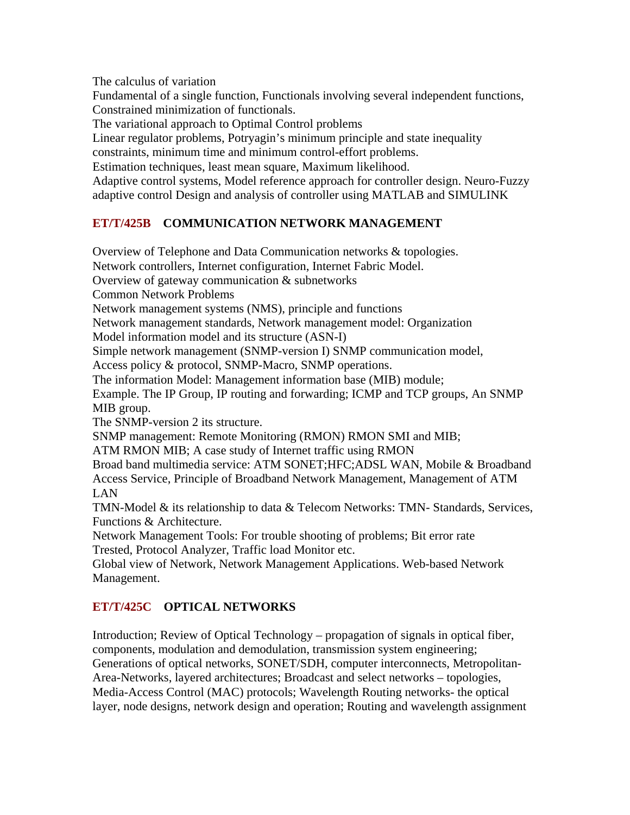The calculus of variation

Fundamental of a single function, Functionals involving several independent functions, Constrained minimization of functionals.

The variational approach to Optimal Control problems

Linear regulator problems, Potryagin's minimum principle and state inequality

constraints, minimum time and minimum control-effort problems.

Estimation techniques, least mean square, Maximum likelihood.

Adaptive control systems, Model reference approach for controller design. Neuro-Fuzzy adaptive control Design and analysis of controller using MATLAB and SIMULINK

# **ET/T/425B COMMUNICATION NETWORK MANAGEMENT**

Overview of Telephone and Data Communication networks & topologies. Network controllers, Internet configuration, Internet Fabric Model. Overview of gateway communication & subnetworks Common Network Problems Network management systems (NMS), principle and functions Network management standards, Network management model: Organization Model information model and its structure (ASN-I) Simple network management (SNMP-version I) SNMP communication model, Access policy & protocol, SNMP-Macro, SNMP operations. The information Model: Management information base (MIB) module; Example. The IP Group, IP routing and forwarding; ICMP and TCP groups, An SNMP MIB group. The SNMP-version 2 its structure. SNMP management: Remote Monitoring (RMON) RMON SMI and MIB; ATM RMON MIB; A case study of Internet traffic using RMON Broad band multimedia service: ATM SONET;HFC;ADSL WAN, Mobile & Broadband Access Service, Principle of Broadband Network Management, Management of ATM LAN

TMN-Model & its relationship to data & Telecom Networks: TMN- Standards, Services, Functions & Architecture.

Network Management Tools: For trouble shooting of problems; Bit error rate Trested, Protocol Analyzer, Traffic load Monitor etc.

Global view of Network, Network Management Applications. Web-based Network Management.

# **ET/T/425C OPTICAL NETWORKS**

Introduction; Review of Optical Technology – propagation of signals in optical fiber, components, modulation and demodulation, transmission system engineering; Generations of optical networks, SONET/SDH, computer interconnects, Metropolitan-Area-Networks, layered architectures; Broadcast and select networks – topologies, Media-Access Control (MAC) protocols; Wavelength Routing networks- the optical layer, node designs, network design and operation; Routing and wavelength assignment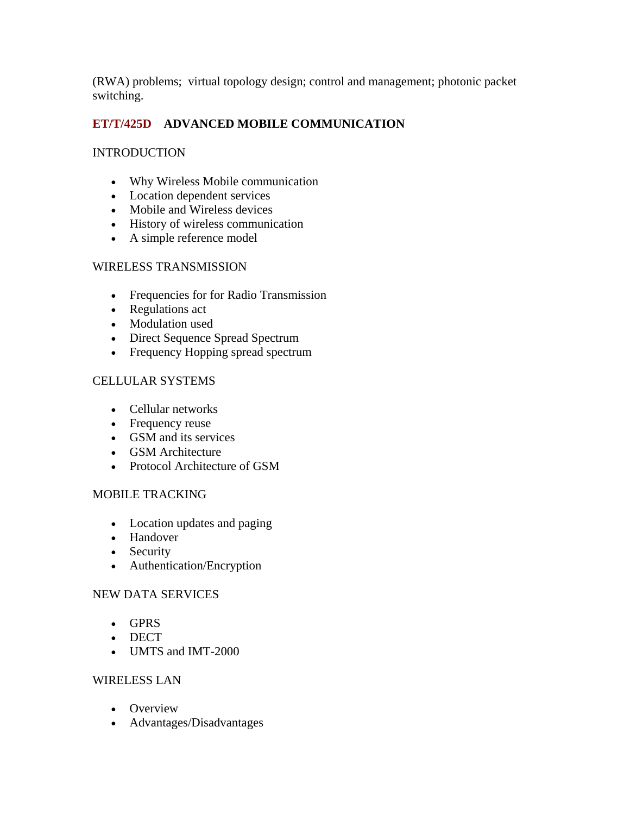(RWA) problems; virtual topology design; control and management; photonic packet switching.

# **ET/T/425D ADVANCED MOBILE COMMUNICATION**

## **INTRODUCTION**

- Why Wireless Mobile communication
- Location dependent services
- Mobile and Wireless devices
- History of wireless communication
- A simple reference model

## WIRELESS TRANSMISSION

- Frequencies for for Radio Transmission
- Regulations act
- Modulation used
- Direct Sequence Spread Spectrum
- Frequency Hopping spread spectrum

# CELLULAR SYSTEMS

- Cellular networks
- Frequency reuse
- GSM and its services
- GSM Architecture
- Protocol Architecture of GSM

## MOBILE TRACKING

- Location updates and paging
- Handover
- Security
- Authentication/Encryption

## NEW DATA SERVICES

- GPRS
- DECT
- UMTS and IMT-2000

## WIRELESS LAN

- Overview
- Advantages/Disadvantages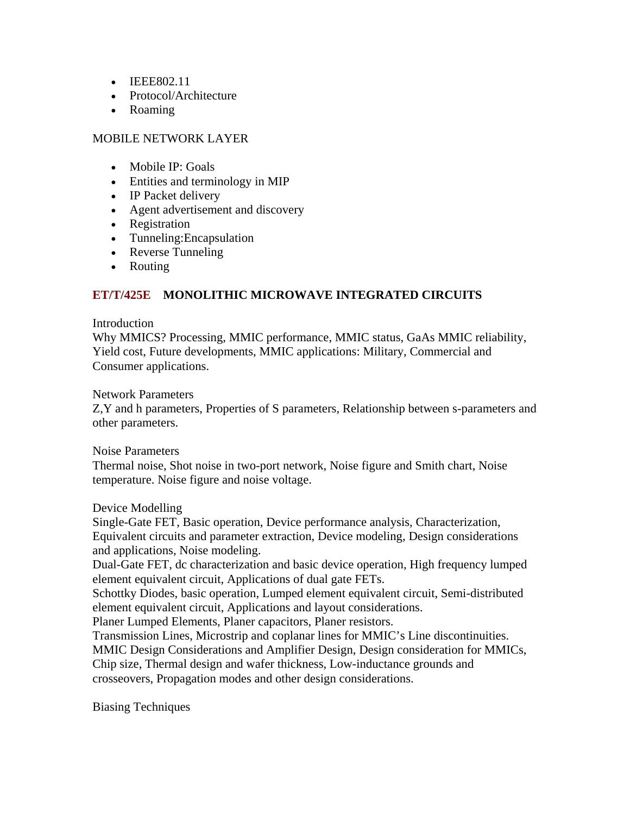- IEEE802.11
- Protocol/Architecture
- Roaming

## MOBILE NETWORK LAYER

- Mobile IP: Goals
- Entities and terminology in MIP
- IP Packet delivery
- Agent advertisement and discovery
- Registration
- Tunneling:Encapsulation
- Reverse Tunneling
- Routing

## **ET/T/425E MONOLITHIC MICROWAVE INTEGRATED CIRCUITS**

#### Introduction

Why MMICS? Processing, MMIC performance, MMIC status, GaAs MMIC reliability, Yield cost, Future developments, MMIC applications: Military, Commercial and Consumer applications.

#### Network Parameters

Z,Y and h parameters, Properties of S parameters, Relationship between s-parameters and other parameters.

#### Noise Parameters

Thermal noise, Shot noise in two-port network, Noise figure and Smith chart, Noise temperature. Noise figure and noise voltage.

#### Device Modelling

Single-Gate FET, Basic operation, Device performance analysis, Characterization, Equivalent circuits and parameter extraction, Device modeling, Design considerations and applications, Noise modeling.

Dual-Gate FET, dc characterization and basic device operation, High frequency lumped element equivalent circuit, Applications of dual gate FETs.

Schottky Diodes, basic operation, Lumped element equivalent circuit, Semi-distributed element equivalent circuit, Applications and layout considerations.

Planer Lumped Elements, Planer capacitors, Planer resistors.

Transmission Lines, Microstrip and coplanar lines for MMIC's Line discontinuities. MMIC Design Considerations and Amplifier Design, Design consideration for MMICs, Chip size, Thermal design and wafer thickness, Low-inductance grounds and crosseovers, Propagation modes and other design considerations.

Biasing Techniques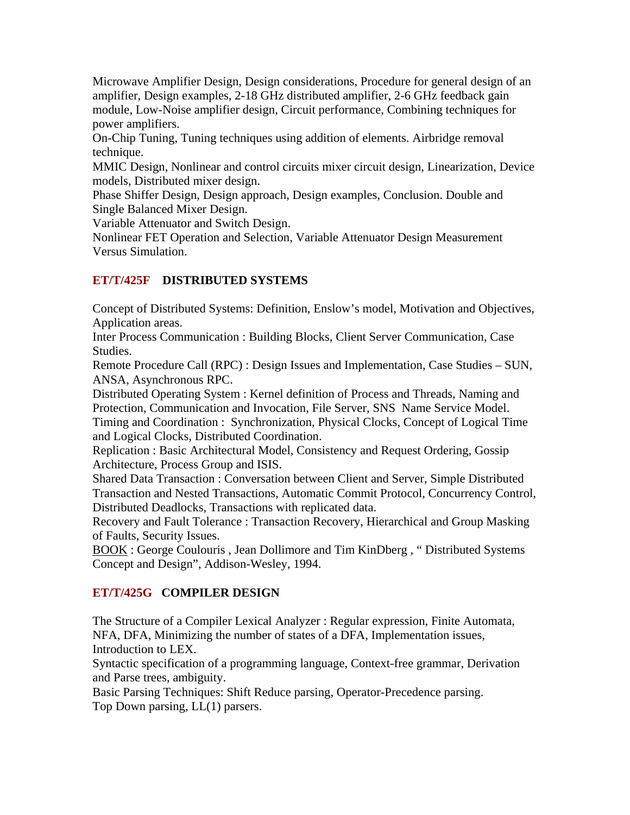Microwave Amplifier Design, Design considerations, Procedure for general design of an amplifier, Design examples, 2-18 GHz distributed amplifier, 2-6 GHz feedback gain module, Low-Noise amplifier design, Circuit performance, Combining techniques for power amplifiers.

On-Chip Tuning, Tuning techniques using addition of elements. Airbridge removal technique.

MMIC Design, Nonlinear and control circuits mixer circuit design, Linearization, Device models, Distributed mixer design.

Phase Shiffer Design, Design approach, Design examples, Conclusion. Double and Single Balanced Mixer Design.

Variable Attenuator and Switch Design.

Nonlinear FET Operation and Selection, Variable Attenuator Design Measurement Versus Simulation.

## **ET/T/425F DISTRIBUTED SYSTEMS**

Concept of Distributed Systems: Definition, Enslow's model, Motivation and Objectives, Application areas.

Inter Process Communication : Building Blocks, Client Server Communication, Case Studies.

Remote Procedure Call (RPC) : Design Issues and Implementation, Case Studies – SUN, ANSA, Asynchronous RPC.

Distributed Operating System : Kernel definition of Process and Threads, Naming and Protection, Communication and Invocation, File Server, SNS Name Service Model. Timing and Coordination : Synchronization, Physical Clocks, Concept of Logical Time and Logical Clocks, Distributed Coordination.

Replication : Basic Architectural Model, Consistency and Request Ordering, Gossip Architecture, Process Group and ISIS.

Shared Data Transaction : Conversation between Client and Server, Simple Distributed Transaction and Nested Transactions, Automatic Commit Protocol, Concurrency Control, Distributed Deadlocks, Transactions with replicated data.

Recovery and Fault Tolerance : Transaction Recovery, Hierarchical and Group Masking of Faults, Security Issues.

BOOK : George Coulouris , Jean Dollimore and Tim KinDberg , " Distributed Systems Concept and Design", Addison-Wesley, 1994.

## **ET/T/425G COMPILER DESIGN**

The Structure of a Compiler Lexical Analyzer : Regular expression, Finite Automata, NFA, DFA, Minimizing the number of states of a DFA, Implementation issues, Introduction to LEX.

Syntactic specification of a programming language, Context-free grammar, Derivation and Parse trees, ambiguity.

Basic Parsing Techniques: Shift Reduce parsing, Operator-Precedence parsing. Top Down parsing, LL(1) parsers.